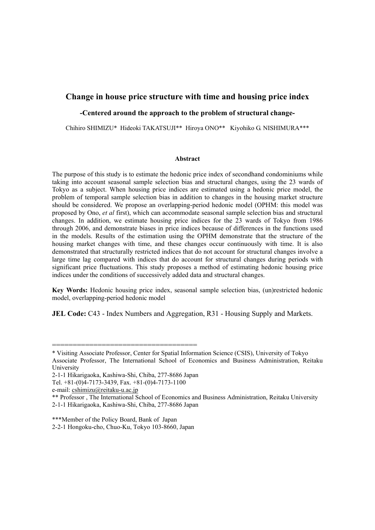## **Change in house price structure with time and housing price index**

### **-Centered around the approach to the problem of structural change-**

Chihiro SHIMIZU\* Hideoki TAKATSUJI\*\* Hiroya ONO\*\* Kiyohiko G. NISHIMURA\*\*\*

#### **Abstract**

The purpose of this study is to estimate the hedonic price index of secondhand condominiums while taking into account seasonal sample selection bias and structural changes, using the 23 wards of Tokyo as a subject. When housing price indices are estimated using a hedonic price model, the problem of temporal sample selection bias in addition to changes in the housing market structure should be considered. We propose an overlapping-period hedonic model (OPHM: this model was proposed by Ono, *et al* first), which can accommodate seasonal sample selection bias and structural changes. In addition, we estimate housing price indices for the 23 wards of Tokyo from 1986 through 2006, and demonstrate biases in price indices because of differences in the functions used in the models. Results of the estimation using the OPHM demonstrate that the structure of the housing market changes with time, and these changes occur continuously with time. It is also demonstrated that structurally restricted indices that do not account for structural changes involve a large time lag compared with indices that do account for structural changes during periods with significant price fluctuations. This study proposes a method of estimating hedonic housing price indices under the conditions of successively added data and structural changes.

**Key Words:** Hedonic housing price index, seasonal sample selection bias, (un)restricted hedonic model, overlapping-period hedonic model

**JEL Code: C43 - Index Numbers and Aggregation, R31 - Housing Supply and Markets.** 

===================================

<sup>\*</sup> Visiting Associate Professor, Center for Spatial Information Science (CSIS), University of Tokyo Associate Professor, The International School of Economics and Business Administration, Reitaku University

<sup>2-1-1</sup> Hikarigaoka, Kashiwa-Shi, Chiba, 277-8686 Japan

Tel. +81-(0)4-7173-3439, Fax. +81-(0)4-7173-1100

e-mail: cshimizu@reitaku-u.ac.jp

<sup>\*\*</sup> Professor , The International School of Economics and Business Administration, Reitaku University 2-1-1 Hikarigaoka, Kashiwa-Shi, Chiba, 277-8686 Japan

<sup>\*\*\*</sup>Member of the Policy Board, Bank of Japan 2-2-1 Hongoku-cho, Chuo-Ku, Tokyo 103-8660, Japan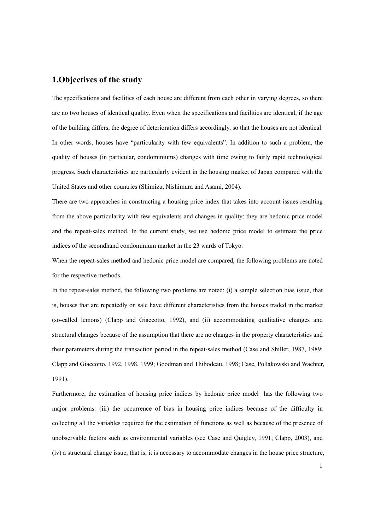# **1.Objectives of the study**

The specifications and facilities of each house are different from each other in varying degrees, so there are no two houses of identical quality. Even when the specifications and facilities are identical, if the age of the building differs, the degree of deterioration differs accordingly, so that the houses are not identical. In other words, houses have "particularity with few equivalents". In addition to such a problem, the quality of houses (in particular, condominiums) changes with time owing to fairly rapid technological progress. Such characteristics are particularly evident in the housing market of Japan compared with the United States and other countries (Shimizu, Nishimura and Asami, 2004).

There are two approaches in constructing a housing price index that takes into account issues resulting from the above particularity with few equivalents and changes in quality: they are hedonic price model and the repeat-sales method. In the current study, we use hedonic price model to estimate the price indices of the secondhand condominium market in the 23 wards of Tokyo.

When the repeat-sales method and hedonic price model are compared, the following problems are noted for the respective methods.

In the repeat-sales method, the following two problems are noted: (i) a sample selection bias issue, that is, houses that are repeatedly on sale have different characteristics from the houses traded in the market (so-called lemons) (Clapp and Giaccotto, 1992), and (ii) accommodating qualitative changes and structural changes because of the assumption that there are no changes in the property characteristics and their parameters during the transaction period in the repeat-sales method (Case and Shiller, 1987, 1989; Clapp and Giaccotto, 1992, 1998, 1999; Goodman and Thibodeau, 1998; Case, Pollakowski and Wachter, 1991).

Furthermore, the estimation of housing price indices by hedonic price model has the following two major problems: (iii) the occurrence of bias in housing price indices because of the difficulty in collecting all the variables required for the estimation of functions as well as because of the presence of unobservable factors such as environmental variables (see Case and Quigley, 1991; Clapp, 2003), and (iv) a structural change issue, that is, it is necessary to accommodate changes in the house price structure,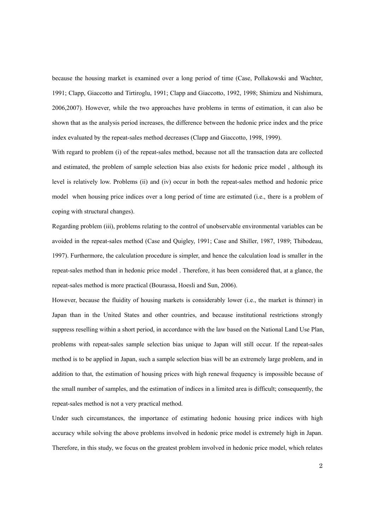because the housing market is examined over a long period of time (Case, Pollakowski and Wachter, 1991; Clapp, Giaccotto and Tirtiroglu, 1991; Clapp and Giaccotto, 1992, 1998; Shimizu and Nishimura, 2006,2007). However, while the two approaches have problems in terms of estimation, it can also be shown that as the analysis period increases, the difference between the hedonic price index and the price index evaluated by the repeat-sales method decreases (Clapp and Giaccotto, 1998, 1999).

With regard to problem (i) of the repeat-sales method, because not all the transaction data are collected and estimated, the problem of sample selection bias also exists for hedonic price model , although its level is relatively low. Problems (ii) and (iv) occur in both the repeat-sales method and hedonic price model when housing price indices over a long period of time are estimated (i.e., there is a problem of coping with structural changes).

Regarding problem (iii), problems relating to the control of unobservable environmental variables can be avoided in the repeat-sales method (Case and Quigley, 1991; Case and Shiller, 1987, 1989; Thibodeau, 1997). Furthermore, the calculation procedure is simpler, and hence the calculation load is smaller in the repeat-sales method than in hedonic price model . Therefore, it has been considered that, at a glance, the repeat-sales method is more practical (Bourassa, Hoesli and Sun, 2006).

However, because the fluidity of housing markets is considerably lower (i.e., the market is thinner) in Japan than in the United States and other countries, and because institutional restrictions strongly suppress reselling within a short period, in accordance with the law based on the National Land Use Plan, problems with repeat-sales sample selection bias unique to Japan will still occur. If the repeat-sales method is to be applied in Japan, such a sample selection bias will be an extremely large problem, and in addition to that, the estimation of housing prices with high renewal frequency is impossible because of the small number of samples, and the estimation of indices in a limited area is difficult; consequently, the repeat-sales method is not a very practical method.

Under such circumstances, the importance of estimating hedonic housing price indices with high accuracy while solving the above problems involved in hedonic price model is extremely high in Japan. Therefore, in this study, we focus on the greatest problem involved in hedonic price model, which relates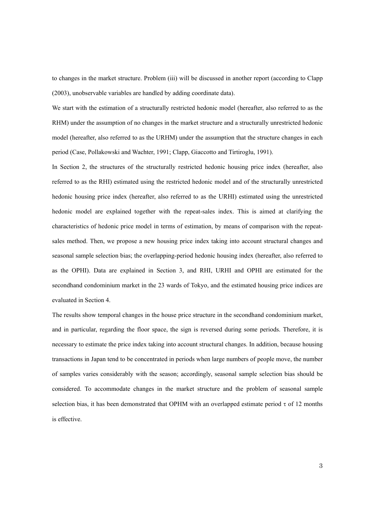to changes in the market structure. Problem (iii) will be discussed in another report (according to Clapp (2003), unobservable variables are handled by adding coordinate data).

We start with the estimation of a structurally restricted hedonic model (hereafter, also referred to as the RHM) under the assumption of no changes in the market structure and a structurally unrestricted hedonic model (hereafter, also referred to as the URHM) under the assumption that the structure changes in each period (Case, Pollakowski and Wachter, 1991; Clapp, Giaccotto and Tirtiroglu, 1991).

In Section 2, the structures of the structurally restricted hedonic housing price index (hereafter, also referred to as the RHI) estimated using the restricted hedonic model and of the structurally unrestricted hedonic housing price index (hereafter, also referred to as the URHI) estimated using the unrestricted hedonic model are explained together with the repeat-sales index. This is aimed at clarifying the characteristics of hedonic price model in terms of estimation, by means of comparison with the repeatsales method. Then, we propose a new housing price index taking into account structural changes and seasonal sample selection bias; the overlapping-period hedonic housing index (hereafter, also referred to as the OPHI). Data are explained in Section 3, and RHI, URHI and OPHI are estimated for the secondhand condominium market in the 23 wards of Tokyo, and the estimated housing price indices are evaluated in Section 4.

The results show temporal changes in the house price structure in the secondhand condominium market, and in particular, regarding the floor space, the sign is reversed during some periods. Therefore, it is necessary to estimate the price index taking into account structural changes. In addition, because housing transactions in Japan tend to be concentrated in periods when large numbers of people move, the number of samples varies considerably with the season; accordingly, seasonal sample selection bias should be considered. To accommodate changes in the market structure and the problem of seasonal sample selection bias, it has been demonstrated that OPHM with an overlapped estimate period  $\tau$  of 12 months is effective.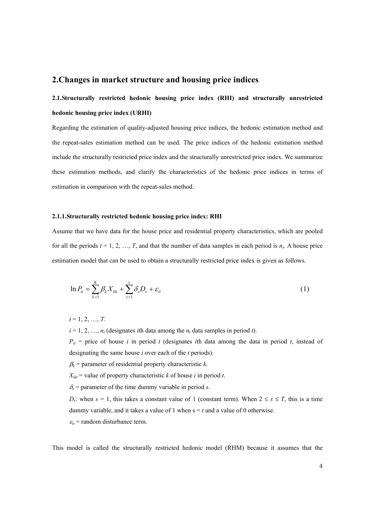### **2.Changes in market structure and housing price indices**

# **2.1.Structurally restricted hedonic housing price index (RHI) and structurally unrestricted hedonic housing price index (URHI)**

Regarding the estimation of quality-adjusted housing price indices, the hedonic estimation method and the repeat-sales estimation method can be used. The price indices of the hedonic estimation method include the structurally restricted price index and the structurally unrestricted price index. We summarize these estimation methods, and clarify the characteristics of the hedonic price indices in terms of estimation in comparison with the repeat-sales method.

### **2.1.1.Structurally restricted hedonic housing price index: RHI**

Assume that we have data for the house price and residential property characteristics, which are pooled for all the periods  $t = 1, 2, ..., T$ , and that the number of data samples in each period is  $n_t$ . A house price estimation model that can be used to obtain a structurally restricted price index is given as follows.

$$
\ln P_{it} = \sum_{k=1}^{K} \beta_k X_{ikt} + \sum_{s=1}^{t} \delta_s D_s + \varepsilon_{it}
$$
\n(1)

 $t = 1, 2, ..., T$ .

 $i = 1, 2, \ldots, n_t$  (designates *i*th data among the  $n_t$  data samples in period *t*).

 $P_{it}$  = price of house *i* in period *t* (designates *i*th data among the data in period *t*, instead of designating the same house *i* over each of the *t* periods).

 $\beta_k$  = parameter of residential property characteristic *k*.

 $X_{ikt}$  = value of property characteristic *k* of house *i* in period *t*.

 $\delta$ <sub>s</sub> = parameter of the time dummy variable in period *s*.

*D<sub>s</sub>*: when  $s = 1$ , this takes a constant value of 1 (constant term). When  $2 \le s \le T$ , this is a time dummy variable, and it takes a value of 1 when  $s = t$  and a value of 0 otherwise.

 $\varepsilon_{it}$  = random disturbance term.

This model is called the structurally restricted hedonic model (RHM) because it assumes that the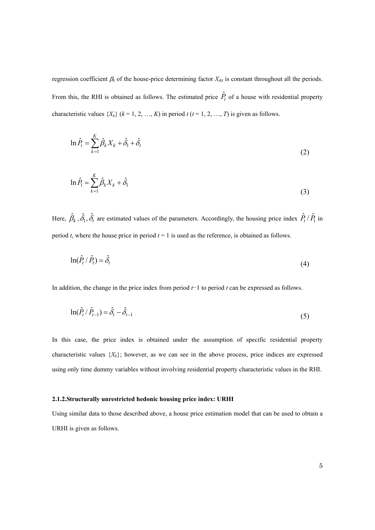regression coefficient β*k* of the house-price determining factor *Xikt* is constant throughout all the periods. From this, the RHI is obtained as follows. The estimated price  $\hat{P}_t$  of a house with residential property characteristic values  $\{X_k\}$  ( $k = 1, 2, ..., K$ ) in period  $t$  ( $t = 1, 2, ..., T$ ) is given as follows.

$$
\ln \hat{P}_t = \sum_{k=1}^K \hat{\beta}_k X_k + \hat{\delta}_1 + \hat{\delta}_t \tag{2}
$$

$$
\ln \hat{P}_1 = \sum_{k=1}^{K} \hat{\beta}_k X_k + \hat{\delta}_1 \tag{3}
$$

Here,  $\hat{\beta}_k$ ,  $\hat{\delta}_1$ ,  $\hat{\delta}_t$  are estimated values of the parameters. Accordingly, the housing price index  $\hat{P}_t/\hat{P}_1$  in period  $t$ , where the house price in period  $t = 1$  is used as the reference, is obtained as follows.

$$
\ln(\hat{P}_t/\hat{P}_1) = \hat{\delta}_t \tag{4}
$$

In addition, the change in the price index from period *t*−1 to period *t* can be expressed as follows.

$$
\ln(\hat{P}_t / \hat{P}_{t-1}) = \hat{\delta}_t - \hat{\delta}_{t-1}
$$
\n(5)

In this case, the price index is obtained under the assumption of specific residential property characteristic values  $\{X_k\}$ ; however, as we can see in the above process, price indices are expressed using only time dummy variables without involving residential property characteristic values in the RHI.

### **2.1.2.Structurally unrestricted hedonic housing price index: URHI**

Using similar data to those described above, a house price estimation model that can be used to obtain a URHI is given as follows.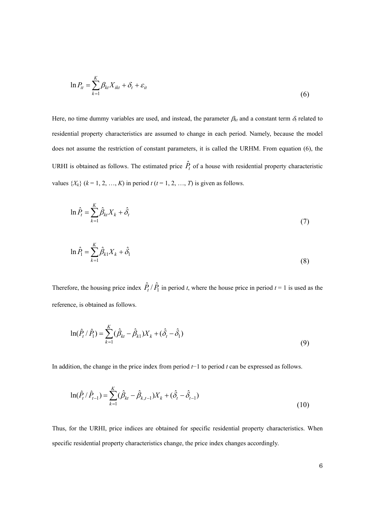$$
\ln P_{it} = \sum_{k=1}^{K} \beta_{kt} X_{ikt} + \delta_t + \varepsilon_{it}
$$
\n(6)

Here, no time dummy variables are used, and instead, the parameter  $\beta_{kt}$  and a constant term  $\delta_t$  related to residential property characteristics are assumed to change in each period. Namely, because the model does not assume the restriction of constant parameters, it is called the URHM. From equation (6), the URHI is obtained as follows. The estimated price  $\hat{P}_t$  of a house with residential property characteristic values  $\{X_k\}$  ( $k = 1, 2, ..., K$ ) in period  $t$  ( $t = 1, 2, ..., T$ ) is given as follows.

$$
\ln \hat{P}_t = \sum_{k=1}^K \hat{\beta}_{kt} X_k + \hat{\delta}_t \tag{7}
$$

$$
\ln \hat{P}_1 = \sum_{k=1}^{K} \hat{\beta}_{k1} X_k + \hat{\delta}_1
$$
\n(8)

Therefore, the housing price index  $\hat{P}_t / \hat{P}_1$  in period *t*, where the house price in period  $t = 1$  is used as the reference, is obtained as follows.

$$
\ln(\hat{P}_t / \hat{P}_1) = \sum_{k=1}^{K} (\hat{\beta}_{kt} - \hat{\beta}_{k1}) X_k + (\hat{\delta}_t - \hat{\delta}_1)
$$
\n(9)

In addition, the change in the price index from period *t*−1 to period *t* can be expressed as follows.

$$
\ln(\hat{P}_t/\hat{P}_{t-1}) = \sum_{k=1}^K (\hat{\beta}_{kt} - \hat{\beta}_{k,t-1})X_k + (\hat{\delta}_t - \hat{\delta}_{t-1})
$$
\n(10)

Thus, for the URHI, price indices are obtained for specific residential property characteristics. When specific residential property characteristics change, the price index changes accordingly.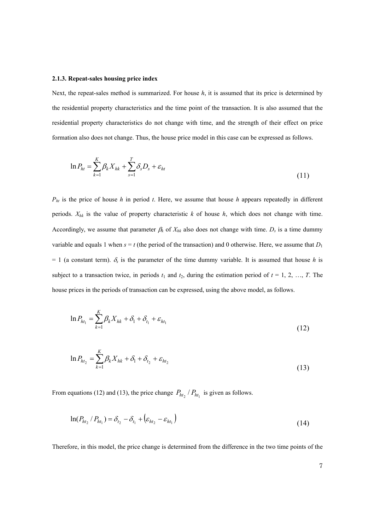### **2.1.3. Repeat-sales housing price index**

Next, the repeat-sales method is summarized. For house *h*, it is assumed that its price is determined by the residential property characteristics and the time point of the transaction. It is also assumed that the residential property characteristics do not change with time, and the strength of their effect on price formation also does not change. Thus, the house price model in this case can be expressed as follows.

$$
\ln P_{ht} = \sum_{k=1}^{K} \beta_k X_{hk} + \sum_{s=1}^{T} \delta_s D_s + \varepsilon_{ht}
$$
\n(11)

*Pht* is the price of house *h* in period *t*. Here, we assume that house *h* appears repeatedly in different periods. *Xhk* is the value of property characteristic *k* of house *h*, which does not change with time. Accordingly, we assume that parameter  $\beta_k$  of  $X_{hk}$  also does not change with time.  $D_s$  is a time dummy variable and equals 1 when  $s = t$  (the period of the transaction) and 0 otherwise. Here, we assume that  $D_1$  $= 1$  (a constant term).  $\delta_s$  is the parameter of the time dummy variable. It is assumed that house *h* is subject to a transaction twice, in periods  $t_1$  and  $t_2$ , during the estimation period of  $t = 1, 2, ..., T$ . The house prices in the periods of transaction can be expressed, using the above model, as follows.

$$
\ln P_{ht_1} = \sum_{k=1}^{K} \beta_k X_{hk} + \delta_1 + \delta_{t_1} + \varepsilon_{ht_1}
$$
\n(12)

$$
\ln P_{ht_2} = \sum_{k=1}^{K} \beta_k X_{hk} + \delta_1 + \delta_{t_2} + \varepsilon_{ht_2}
$$
\n(13)

From equations (12) and (13), the price change  $P_{ht_2}$  /  $P_{ht_1}$  is given as follows.

$$
\ln(P_{ht_2} / P_{ht_1}) = \delta_{t_2} - \delta_{t_1} + \left(\varepsilon_{ht_2} - \varepsilon_{ht_1}\right)
$$
\n(14)

Therefore, in this model, the price change is determined from the difference in the two time points of the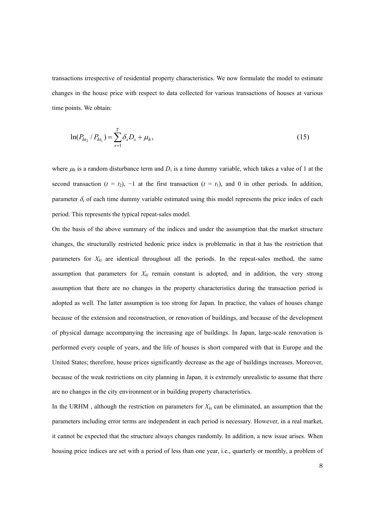transactions irrespective of residential property characteristics. We now formulate the model to estimate changes in the house price with respect to data collected for various transactions of houses at various time points. We obtain:

$$
\ln(P_{ht_2}/P_{ht_1}) = \sum_{s=1}^{T} \delta_s D_s + \mu_h,
$$
\n(15)

where  $\mu_h$  is a random disturbance term and  $D_s$  is a time dummy variable, which takes a value of 1 at the second transaction ( $t = t_2$ ),  $-1$  at the first transaction ( $t = t_1$ ), and 0 in other periods. In addition, parameter  $\delta_s$  of each time dummy variable estimated using this model represents the price index of each period. This represents the typical repeat-sales model.

On the basis of the above summary of the indices and under the assumption that the market structure changes, the structurally restricted hedonic price index is problematic in that it has the restriction that parameters for *Xki* are identical throughout all the periods. In the repeat-sales method, the same assumption that parameters for  $X_{ki}$  remain constant is adopted, and in addition, the very strong assumption that there are no changes in the property characteristics during the transaction period is adopted as well. The latter assumption is too strong for Japan. In practice, the values of houses change because of the extension and reconstruction, or renovation of buildings, and because of the development of physical damage accompanying the increasing age of buildings. In Japan, large-scale renovation is performed every couple of years, and the life of houses is short compared with that in Europe and the United States; therefore, house prices significantly decrease as the age of buildings increases. Moreover, because of the weak restrictions on city planning in Japan, it is extremely unrealistic to assume that there are no changes in the city environment or in building property characteristics.

In the URHM, although the restriction on parameters for  $X_{ki}$  can be eliminated, an assumption that the parameters including error terms are independent in each period is necessary. However, in a real market, it cannot be expected that the structure always changes randomly. In addition, a new issue arises. When housing price indices are set with a period of less than one year, i.e., quarterly or monthly, a problem of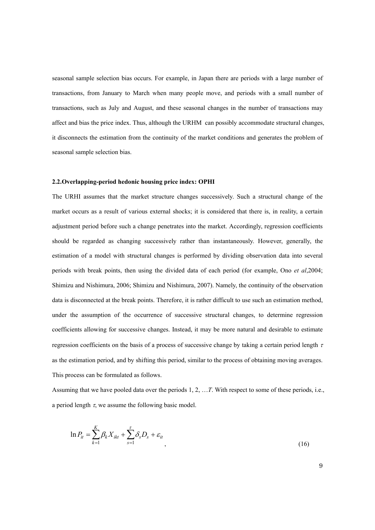seasonal sample selection bias occurs. For example, in Japan there are periods with a large number of transactions, from January to March when many people move, and periods with a small number of transactions, such as July and August, and these seasonal changes in the number of transactions may affect and bias the price index. Thus, although the URHM can possibly accommodate structural changes, it disconnects the estimation from the continuity of the market conditions and generates the problem of seasonal sample selection bias.

### **2.2.Overlapping-period hedonic housing price index: OPHI**

The URHI assumes that the market structure changes successively. Such a structural change of the market occurs as a result of various external shocks; it is considered that there is, in reality, a certain adjustment period before such a change penetrates into the market. Accordingly, regression coefficients should be regarded as changing successively rather than instantaneously. However, generally, the estimation of a model with structural changes is performed by dividing observation data into several periods with break points, then using the divided data of each period (for example, Ono *et al*,2004; Shimizu and Nishimura, 2006; Shimizu and Nishimura, 2007). Namely, the continuity of the observation data is disconnected at the break points. Therefore, it is rather difficult to use such an estimation method, under the assumption of the occurrence of successive structural changes, to determine regression coefficients allowing for successive changes. Instead, it may be more natural and desirable to estimate regression coefficients on the basis of a process of successive change by taking a certain period length  $\tau$ as the estimation period, and by shifting this period, similar to the process of obtaining moving averages. This process can be formulated as follows.

Assuming that we have pooled data over the periods 1, 2, …*T*. With respect to some of these periods, i.e., a period length  $\tau$ , we assume the following basic model.

$$
\ln P_{it} = \sum_{k=1}^{K} \beta_k X_{ikt} + \sum_{s=1}^{t} \delta_s D_s + \varepsilon_{it}
$$
\n(16)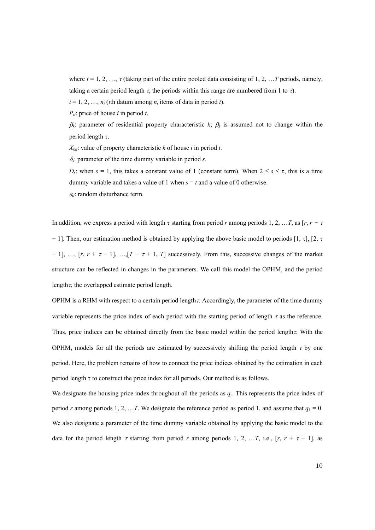where  $t = 1, 2, ..., \tau$  (taking part of the entire pooled data consisting of 1, 2, ... *T* periods, namely, taking a certain period length  $\tau$ , the periods within this range are numbered from 1 to  $\tau$ ).

 $i = 1, 2, \ldots, n_t$  (*i*th datum among  $n_t$  items of data in period *t*).

*Pit*: price of house *i* in period *t*.

 $β_k$ : parameter of residential property characteristic  $k$ ;  $β_k$  is assumed not to change within the period length τ.

 $X_{kit}$ : value of property characteristic *k* of house *i* in period *t*.

<sup>δ</sup>*s*: parameter of the time dummy variable in period *s*.

*D<sub>s</sub>*: when  $s = 1$ , this takes a constant value of 1 (constant term). When  $2 \leq s \leq \tau$ , this is a time dummy variable and takes a value of 1 when  $s = t$  and a value of 0 otherwise.

 $\varepsilon_{it}$ : random disturbance term.

In addition, we express a period with length  $\tau$  starting from period *r* among periods 1, 2, ... *T*, as [*r*,  $r + \tau$ − 1]. Then, our estimation method is obtained by applying the above basic model to periods [1, τ], [2, τ + 1], ...,  $[r, r + \tau - 1]$ , ...,  $[T - \tau + 1, T]$  successively. From this, successive changes of the market structure can be reflected in changes in the parameters. We call this model the OPHM, and the period length  $\tau$ , the overlapped estimate period length.

OPHM is a RHM with respect to a certain period length  $\tau$ . Accordingly, the parameter of the time dummy variable represents the price index of each period with the starting period of length  $\tau$  as the reference. Thus, price indices can be obtained directly from the basic model within the period length  $\tau$ . With the OPHM, models for all the periods are estimated by successively shifting the period length  $\tau$  by one period. Here, the problem remains of how to connect the price indices obtained by the estimation in each period length  $\tau$  to construct the price index for all periods. Our method is as follows.

We designate the housing price index throughout all the periods as  $q_r$ . This represents the price index of period *r* among periods 1, 2, …*T*. We designate the reference period as period 1, and assume that  $q_1 = 0$ . We also designate a parameter of the time dummy variable obtained by applying the basic model to the data for the period length  $\tau$  starting from period  $r$  among periods 1, 2, … *T*, i.e., [ $r$ ,  $r + \tau - 1$ ], as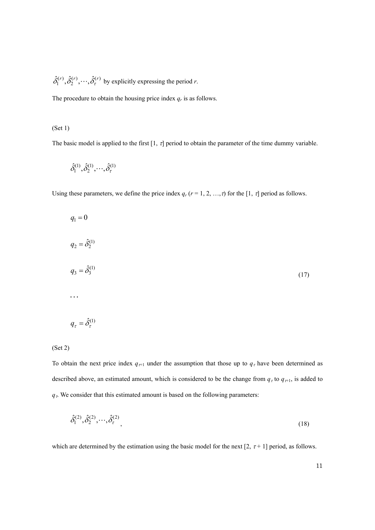$(r)$   $\hat{s}(r)$ 2  $\hat{\delta}_1^{(r)}, \hat{\delta}_2^{(r)}, \cdots, \hat{\delta}_r^{(r)}$  by explicitly expressing the period *r*.

The procedure to obtain the housing price index *qr* is as follows.

### (Set 1)

The basic model is applied to the first  $[1, \tau]$  period to obtain the parameter of the time dummy variable.

$$
\hat{\delta}^{(1)}_1, \hat{\delta}^{(1)}_2, \cdots, \hat{\delta}^{(1)}_\tau
$$

Using these parameters, we define the price index  $q_r$  ( $r = 1, 2, ..., \tau$ ) for the [1,  $\tau$ ] period as follows.

$$
q_1 = 0
$$
  
\n
$$
q_2 = \hat{\delta}_2^{(1)}
$$
  
\n
$$
q_3 = \hat{\delta}_3^{(1)}
$$
  
\n...  
\n
$$
q_\tau = \hat{\delta}_\tau^{(1)}
$$
  
\n(17)

### (Set 2)

To obtain the next price index  $q_{\tau+1}$  under the assumption that those up to  $q_{\tau}$  have been determined as described above, an estimated amount, which is considered to be the change from  $q<sub>\tau</sub>$  to  $q<sub>\tau+1</sub>$ , is added to  $q<sub>\tau</sub>$ . We consider that this estimated amount is based on the following parameters:

$$
\hat{\delta}_1^{(2)}, \hat{\delta}_2^{(2)}, \cdots, \hat{\delta}_\tau^{(2)}, \tag{18}
$$

which are determined by the estimation using the basic model for the next [2,  $\tau$ +1] period, as follows.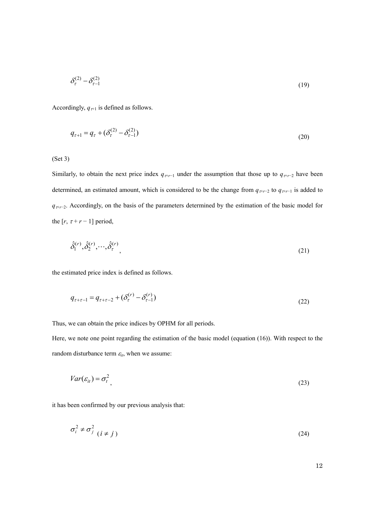$$
\delta_{\tau}^{(2)} - \delta_{\tau-1}^{(2)} \tag{19}
$$

Accordingly,  $q_{\tau+1}$  is defined as follows.

$$
q_{\tau+1} = q_{\tau} + (\delta_{\tau}^{(2)} - \delta_{\tau-1}^{(2)})
$$
\n(20)

(Set 3)

Similarly, to obtain the next price index  $q_{\tau+r-1}$  under the assumption that those up to  $q_{\tau+r-2}$  have been determined, an estimated amount, which is considered to be the change from  $q_{\tau+r-2}$  to  $q_{\tau+r-1}$  is added to *q*<sub>τ+*r*−2</sub>. Accordingly, on the basis of the parameters determined by the estimation of the basic model for the  $[r, \tau + r - 1]$  period,

$$
\hat{\delta}_1^{(r)}, \hat{\delta}_2^{(r)}, \cdots, \hat{\delta}_r^{(r)}
$$
\n<sup>(21)</sup>

the estimated price index is defined as follows.

$$
q_{\tau+\tau-1} = q_{\tau+\tau-2} + (\delta_{\tau}^{(r)} - \delta_{\tau-1}^{(r)})
$$
\n(22)

Thus, we can obtain the price indices by OPHM for all periods.

Here, we note one point regarding the estimation of the basic model (equation (16)). With respect to the random disturbance term  $\varepsilon_{it}$ , when we assume:

$$
Var(\varepsilon_{it}) = \sigma_t^2 \tag{23}
$$

it has been confirmed by our previous analysis that:

$$
\sigma_i^2 \neq \sigma_j^2 \quad (i \neq j)
$$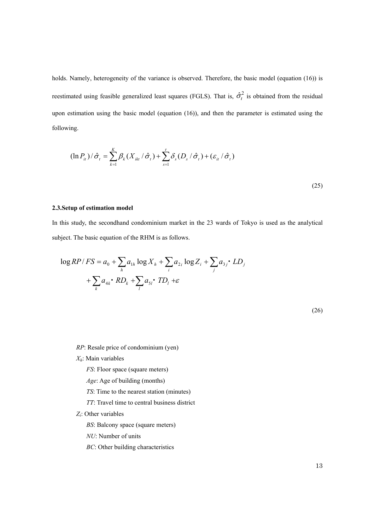holds. Namely, heterogeneity of the variance is observed. Therefore, the basic model (equation (16)) is reestimated using feasible generalized least squares (FGLS). That is,  $\hat{\sigma}_t^2$  is obtained from the residual upon estimation using the basic model (equation (16)), and then the parameter is estimated using the following.

$$
(\ln P_{it})/\hat{\sigma}_t = \sum_{k=1}^{K} \beta_k (X_{ikt} / \hat{\sigma}_t) + \sum_{s=1}^{t} \delta_s (D_s / \hat{\sigma}_t) + (\varepsilon_{it} / \hat{\sigma}_t)
$$
\n(25)

#### **2.3.Setup of estimation model**

In this study, the secondhand condominium market in the 23 wards of Tokyo is used as the analytical subject. The basic equation of the RHM is as follows.

$$
\log RP/FS = a_0 + \sum_h a_{1h} \log X_h + \sum_i a_{2i} \log Z_i + \sum_j a_{3j} \cdot LD_j
$$
  
+ 
$$
\sum_k a_{4k} \cdot RD_k + \sum_l a_{5l} \cdot TD_l + \varepsilon
$$

(26)

*RP*: Resale price of condominium (yen)

*Xh*: Main variables

*FS*: Floor space (square meters)

*Age*: Age of building (months)

*TS*: Time to the nearest station (minutes)

*TT*: Travel time to central business district

*Zi*: Other variables

*BS*: Balcony space (square meters)

*NU*: Number of units

*BC*: Other building characteristics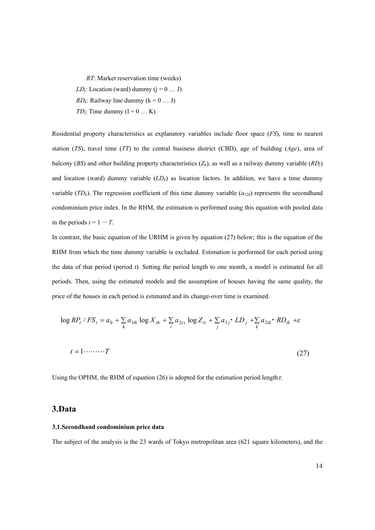*RT*: Market reservation time (weeks) *LD<sub>i</sub>*: Location (ward) dummy  $(j = 0 ... J)$ *RD<sub>k</sub>*: Railway line dummy  $(k = 0 ... J)$ *TD*<sub>*i*</sub>: Time dummy  $(l = 0 ... K)$ 

Residential property characteristics as explanatory variables include floor space (*FS*), time to nearest station (*TS*), travel time (*TT*) to the central business district (CBD), age of building (*Age*), area of balcony (*BS*) and other building property characteristics  $(Z_h)$ , as well as a railway dummy variable  $(RD_i)$ and location (ward) dummy variable  $(LD_k)$  as location factors. In addition, we have a time dummy variable  $(TD_k)$ . The regression coefficient of this time dummy variable  $(a_{12k})$  represents the secondhand condominium price index. In the RHM, the estimation is performed using this equation with pooled data in the periods  $t = 1 \cdots T$ .

In contrast, the basic equation of the URHM is given by equation (27) below; this is the equation of the RHM from which the time dummy variable is excluded. Estimation is performed for each period using the data of that period (period *t*). Setting the period length to one month, a model is estimated for all periods. Then, using the estimated models and the assumption of houses having the same quality, the price of the houses in each period is estimated and its change-over time is examined.

$$
\log RP_t / FS_t = a_0 + \sum_h a_{1th} \log X_{th} + \sum_i a_{2ti} \log Z_{ti} + \sum_j a_{3j} \cdot LD_j + \sum_k a_{2tk} \cdot RD_{tk} + \varepsilon
$$
  

$$
t = 1 \cdot \dots \cdot T
$$
 (27)

Using the OPHM, the RHM of equation (26) is adopted for the estimation period length  $\tau$ .

### **3.Data**

#### **3.1.Secondhand condominium price data**

The subject of the analysis is the 23 wards of Tokyo metropolitan area (621 square kilometers), and the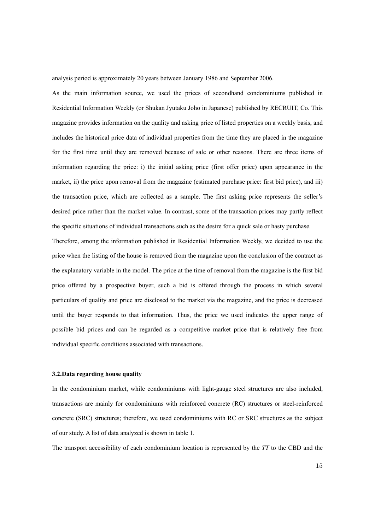analysis period is approximately 20 years between January 1986 and September 2006.

As the main information source, we used the prices of secondhand condominiums published in Residential Information Weekly (or Shukan Jyutaku Joho in Japanese) published by RECRUIT, Co. This magazine provides information on the quality and asking price of listed properties on a weekly basis, and includes the historical price data of individual properties from the time they are placed in the magazine for the first time until they are removed because of sale or other reasons. There are three items of information regarding the price: i) the initial asking price (first offer price) upon appearance in the market, ii) the price upon removal from the magazine (estimated purchase price: first bid price), and iii) the transaction price, which are collected as a sample. The first asking price represents the seller's desired price rather than the market value. In contrast, some of the transaction prices may partly reflect the specific situations of individual transactions such as the desire for a quick sale or hasty purchase.

Therefore, among the information published in Residential Information Weekly, we decided to use the price when the listing of the house is removed from the magazine upon the conclusion of the contract as the explanatory variable in the model. The price at the time of removal from the magazine is the first bid price offered by a prospective buyer, such a bid is offered through the process in which several particulars of quality and price are disclosed to the market via the magazine, and the price is decreased until the buyer responds to that information. Thus, the price we used indicates the upper range of possible bid prices and can be regarded as a competitive market price that is relatively free from individual specific conditions associated with transactions.

#### **3.2.Data regarding house quality**

In the condominium market, while condominiums with light-gauge steel structures are also included, transactions are mainly for condominiums with reinforced concrete (RC) structures or steel-reinforced concrete (SRC) structures; therefore, we used condominiums with RC or SRC structures as the subject of our study. A list of data analyzed is shown in table 1.

The transport accessibility of each condominium location is represented by the *TT* to the CBD and the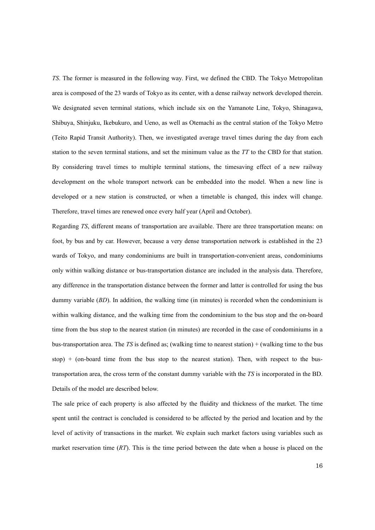*TS*. The former is measured in the following way. First, we defined the CBD. The Tokyo Metropolitan area is composed of the 23 wards of Tokyo as its center, with a dense railway network developed therein. We designated seven terminal stations, which include six on the Yamanote Line, Tokyo, Shinagawa, Shibuya, Shinjuku, Ikebukuro, and Ueno, as well as Otemachi as the central station of the Tokyo Metro (Teito Rapid Transit Authority). Then, we investigated average travel times during the day from each station to the seven terminal stations, and set the minimum value as the *TT* to the CBD for that station. By considering travel times to multiple terminal stations, the timesaving effect of a new railway development on the whole transport network can be embedded into the model. When a new line is developed or a new station is constructed, or when a timetable is changed, this index will change. Therefore, travel times are renewed once every half year (April and October).

Regarding *TS*, different means of transportation are available. There are three transportation means: on foot, by bus and by car. However, because a very dense transportation network is established in the 23 wards of Tokyo, and many condominiums are built in transportation-convenient areas, condominiums only within walking distance or bus-transportation distance are included in the analysis data. Therefore, any difference in the transportation distance between the former and latter is controlled for using the bus dummy variable (*BD*). In addition, the walking time (in minutes) is recorded when the condominium is within walking distance, and the walking time from the condominium to the bus stop and the on-board time from the bus stop to the nearest station (in minutes) are recorded in the case of condominiums in a bus-transportation area. The *TS* is defined as; (walking time to nearest station) + (walking time to the bus stop)  $+$  (on-board time from the bus stop to the nearest station). Then, with respect to the bustransportation area, the cross term of the constant dummy variable with the *TS* is incorporated in the BD. Details of the model are described below.

The sale price of each property is also affected by the fluidity and thickness of the market. The time spent until the contract is concluded is considered to be affected by the period and location and by the level of activity of transactions in the market. We explain such market factors using variables such as market reservation time (*RT*). This is the time period between the date when a house is placed on the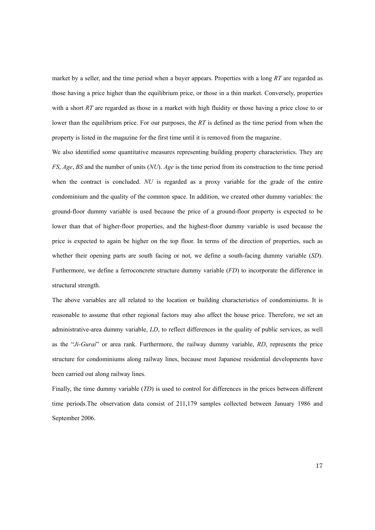market by a seller, and the time period when a buyer appears. Properties with a long *RT* are regarded as those having a price higher than the equilibrium price, or those in a thin market. Conversely, properties with a short *RT* are regarded as those in a market with high fluidity or those having a price close to or lower than the equilibrium price. For our purposes, the *RT* is defined as the time period from when the property is listed in the magazine for the first time until it is removed from the magazine.

We also identified some quantitative measures representing building property characteristics. They are *FS*, *Age*, *BS* and the number of units (*NU*). *Age* is the time period from its construction to the time period when the contract is concluded. *NU* is regarded as a proxy variable for the grade of the entire condominium and the quality of the common space. In addition, we created other dummy variables: the ground-floor dummy variable is used because the price of a ground-floor property is expected to be lower than that of higher-floor properties, and the highest-floor dummy variable is used because the price is expected to again be higher on the top floor. In terms of the direction of properties, such as whether their opening parts are south facing or not, we define a south-facing dummy variable (*SD*). Furthermore, we define a ferroconcrete structure dummy variable (*FD*) to incorporate the difference in structural strength.

The above variables are all related to the location or building characteristics of condominiums. It is reasonable to assume that other regional factors may also affect the house price. Therefore, we set an administrative-area dummy variable, *LD*, to reflect differences in the quality of public services, as well as the "*Ji-Gurai*" or area rank. Furthermore, the railway dummy variable, *RD*, represents the price structure for condominiums along railway lines, because most Japanese residential developments have been carried out along railway lines.

Finally, the time dummy variable (*TD*) is used to control for differences in the prices between different time periods.The observation data consist of 211,179 samples collected between January 1986 and September 2006.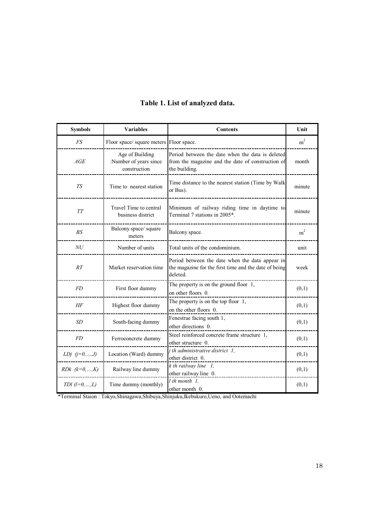| <b>Symbols</b>        | <b>Variables</b>                                          | <b>Contents</b>                                                                                                        | Unit           |
|-----------------------|-----------------------------------------------------------|------------------------------------------------------------------------------------------------------------------------|----------------|
| <b>FS</b>             | Floor space/ square meters Floor space.                   |                                                                                                                        | m <sup>2</sup> |
| AGE                   | Age of Building<br>:Number of years since<br>construction | Period between the date when the data is deleted<br>from the magazine and the date of construction of<br>the building. | month          |
| <b>TS</b>             | Time to nearest station                                   | Time distance to the nearest station (Time by Walk<br>or Bus).                                                         | minute         |
| TT                    | Travel Time to central<br>business district               | Minimum of railway riding time in daytime to<br>Terminal 7 stations in 2005*.                                          | minute         |
| BS                    | Balcony space/ square<br>meters                           | Balcony space.                                                                                                         | m <sup>2</sup> |
| NU                    | Number of units                                           | Total units of the condominium.                                                                                        | unit           |
| RT                    | Market reservation time                                   | Period between the date when the data appear in<br>the magazine for the first time and the date of being<br>deleted.   | week           |
| <b>FD</b>             | First floor dummy                                         | The property is on the ground floor $1$ ,<br>on other floors 0.                                                        | (0,1)          |
| HF                    | Highest floor dummy                                       | The property is on the top floor $1$ ,<br>on the other floors 0.                                                       | (0,1)          |
| <b>SD</b>             | South-facing dummy                                        | Fenestrae facing south 1,<br>other directions 0.                                                                       | (0,1)          |
| <b>FD</b>             | Ferroconcrete dummy                                       | Steel reinforced concrete frame structure 1,<br>other structure 0.                                                     | (0,1)          |
| <i>LDj</i> $(j=0,,J)$ | Location (Ward) dummy                                     | <i>j</i> th administrative district 1,<br>other district 0.                                                            | (0,1)          |
| $RDk \ (k=0,,K)$      | Railway line dummy                                        | $k$ th railway line $1$ ,<br>other railway line 0.                                                                     | (0,1)          |
| TDl $(l=0,,L)$        | Time dummy (monthly)                                      | $l$ th month $l$ ,<br>other month 0.                                                                                   | (0,1)          |

# **Table 1. List of analyzed data.**

\*Terminal Staion : Tokyo,Shinagawa,Shibuya,Shinjuku,Ikebukuro,Ueno, and Ootemachi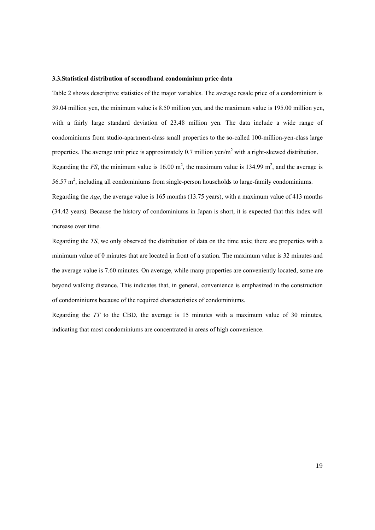### **3.3.Statistical distribution of secondhand condominium price data**

Table 2 shows descriptive statistics of the major variables. The average resale price of a condominium is 39.04 million yen, the minimum value is 8.50 million yen, and the maximum value is 195.00 million yen, with a fairly large standard deviation of 23.48 million yen. The data include a wide range of condominiums from studio-apartment-class small properties to the so-called 100-million-yen-class large properties. The average unit price is approximately 0.7 million yen/ $m<sup>2</sup>$  with a right-skewed distribution. Regarding the *FS*, the minimum value is  $16.00 \text{ m}^2$ , the maximum value is  $134.99 \text{ m}^2$ , and the average is  $56.57 \text{ m}^2$ , including all condominiums from single-person households to large-family condominiums. Regarding the *Age*, the average value is 165 months (13.75 years), with a maximum value of 413 months (34.42 years). Because the history of condominiums in Japan is short, it is expected that this index will increase over time.

Regarding the *TS*, we only observed the distribution of data on the time axis; there are properties with a minimum value of 0 minutes that are located in front of a station. The maximum value is 32 minutes and the average value is 7.60 minutes. On average, while many properties are conveniently located, some are beyond walking distance. This indicates that, in general, convenience is emphasized in the construction

of condominiums because of the required characteristics of condominiums.

Regarding the *TT* to the CBD, the average is 15 minutes with a maximum value of 30 minutes, indicating that most condominiums are concentrated in areas of high convenience.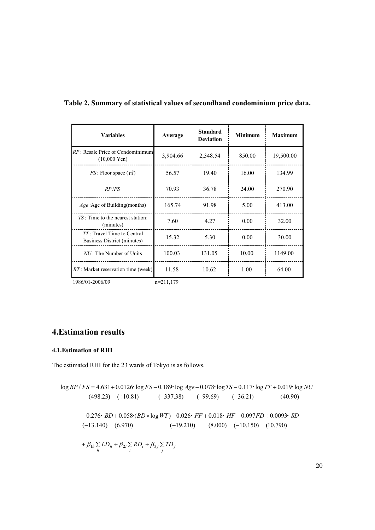| <b>Variables</b>                                           | Average     | <b>Standard</b><br><b>Deviation</b> | <b>Minimum</b> | <b>Maximum</b> |
|------------------------------------------------------------|-------------|-------------------------------------|----------------|----------------|
| RP: Resale Price of Condominimum<br>$(10,000 \text{ Yen})$ | 3,904.66    | 2,348.54                            | 850.00         | 19,500.00      |
| $FS$ : Floor space $(m2)$                                  | 56.57       | 19.40                               | 16.00          | 134.99         |
| RP/FS                                                      | 70.93       | 36.78                               | 24.00          | 270.90         |
| $Age: Age$ of Building(months)                             | 165.74      | 91.98                               | 5.00           | 413.00         |
| $TS$ : Time to the nearest station:<br>(minutes)           | 7.60        | 4.27                                | 0.00           | 32.00          |
| TT: Travel Time to Central<br>Business District (minutes)  | 15.32       | 5.30                                | 0.00           | 30.00          |
| $NU$ : The Number of Units                                 | 100.03      | 131.05                              | 10.00          | 1149.00        |
| RT: Market reservation time (week)                         | 11.58       | 10.62                               | 1.00           | 64.00          |
| 1986/01-2006/09                                            | $n=211,179$ |                                     |                |                |

# **Table 2. Summary of statistical values of secondhand condominium price data.**

# **4.Estimation results**

### **4.1.Estimation of RHI**

The estimated RHI for the 23 wards of Tokyo is as follows.

$$
\log RP / FS = 4.631 + 0.0126 \log FS - 0.189 \log Age - 0.078 \log TS - 0.117 \log TT + 0.019 \log NU
$$
  
(498.23) (+10.81) (-337.38) (-99.69) (-36.21) (40.90)  
-0.276· BD + 0.058·(BD \times \log WT) - 0.026· FF + 0.018· HF - 0.097FD + 0.0093· SD  
(-13.140) (6.970) (-19.210) (8.000) (-10.150) (10.790)  
+  $\beta_{1h} \sum_{h} LD_h + \beta_{2i} \sum_{i} RD_i + \beta_{3j} \sum_{j} TD_j$ 

20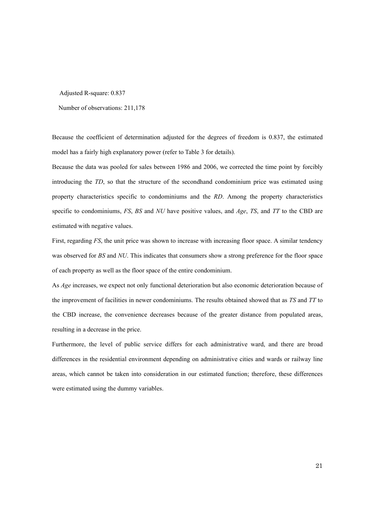Adjusted R-square: 0.837

Number of observations: 211,178

Because the coefficient of determination adjusted for the degrees of freedom is 0.837, the estimated model has a fairly high explanatory power (refer to Table 3 for details).

Because the data was pooled for sales between 1986 and 2006, we corrected the time point by forcibly introducing the *TD*, so that the structure of the secondhand condominium price was estimated using property characteristics specific to condominiums and the *RD*. Among the property characteristics specific to condominiums, *FS*, *BS* and *NU* have positive values, and *Age*, *TS*, and *TT* to the CBD are estimated with negative values.

First, regarding *FS*, the unit price was shown to increase with increasing floor space. A similar tendency was observed for *BS* and *NU*. This indicates that consumers show a strong preference for the floor space of each property as well as the floor space of the entire condominium.

As *Age* increases, we expect not only functional deterioration but also economic deterioration because of the improvement of facilities in newer condominiums. The results obtained showed that as *TS* and *TT* to the CBD increase, the convenience decreases because of the greater distance from populated areas, resulting in a decrease in the price.

Furthermore, the level of public service differs for each administrative ward, and there are broad differences in the residential environment depending on administrative cities and wards or railway line areas, which cannot be taken into consideration in our estimated function; therefore, these differences were estimated using the dummy variables.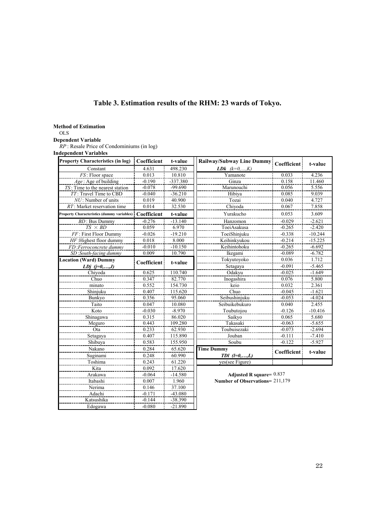# **Table 3. Estimation results of the RHM: 23 wards of Tokyo.**

**Method of Estimation**

OLS

### **Dependent Variable**

*RP* : Resale Price of Condominiums (in log)

Katsushika -0.144 -38.390 Edogawa 1 -0.080 -21.890

**Independent Variables** 

| <b>Property Characteristics (in log)</b>          | Coefficient<br>t-value |                         | Railway/Subway Line Dummy   Coefficient |             | t-value   |
|---------------------------------------------------|------------------------|-------------------------|-----------------------------------------|-------------|-----------|
| Constant                                          | 4.631                  | 498.230                 | <b>LDk</b> $(k=0,,K)$                   |             |           |
| $FS$ : Floor space                                | 0.013                  | 10.810                  | Yamanote                                | 0.033       | 4.236     |
| $Age: Age$ of building                            | $-0.190$               | -337.380                | Ginza                                   | 0.158       | 11.460    |
| TS: Time to the nearest station                   | $-0.078$               | $-99.690$<br>Marunouchi |                                         | 0.056       | 5.556     |
| TT: Travel Time to CBD                            | $-0.040$               | $-36.210$               | Hibiya                                  | 0.085       | 9.039     |
| $NU$ : Number of units                            | 0.019                  | 40.900                  | Tozai                                   | 0.040       | 4.727     |
| $RT$ : Market reservation time                    | 0.014                  | 32.530                  | Chiyoda                                 | 0.067       | 7.858     |
| <b>Property Characteristics (dummy variables)</b> | Coefficient            | t-value                 | Yurakucho                               | 0.053       | 3.609     |
| <b>BD</b> : Bus Dummy                             | $-0.276$               | $-13.140$               | Hanzomon                                | $-0.029$    | $-2.621$  |
| $TS \times BD$                                    | 0.059                  | 6.970                   | ToeiAsakusa                             | $-0.265$    | $-2.420$  |
| FF: First Floor Dummy                             | $-0.026$               | $-19.210$               | ToeiShinjuku                            | $-0.338$    | $-10.244$ |
| $HF$ : Highest floor dummy                        | 0.018                  | 8.000                   | Keihinkyukou                            | $-0.214$    | $-15.225$ |
| FD:Ferroconcrete dummy                            | $-0.010$               | $-10.150$               | Keihintohoku                            | $-0.265$    | $-6.692$  |
| SD:South-facing dummy                             | 0.009                  | 10.790                  | Ikegami                                 | $-0.089$    | $-6.782$  |
| <b>Location (Ward) Dummy</b>                      | Coefficient            | t-value                 | Tokyutoyoko                             | 0.036       | 1.712     |
| LDj $(j=0,,J)$                                    |                        |                         | Setagaya                                | $-0.091$    | $-5.465$  |
| Chiyoda                                           | 0.625                  | 110.740                 | Odakvu                                  | $-0.025$    | $-1.649$  |
| Chuo                                              | 0.347                  | 82.770                  | Inogashira                              | 0.076       | 5.800     |
| minato                                            | 0.552                  | 154.730                 | keio                                    | 0.032       | 2.361     |
| Shinjuku                                          | 0.407                  | 115.620                 | Chuo                                    | $-0.045$    | $-1.621$  |
| Bunkyo                                            | 0.356                  | 95.060                  | Seibushinjuku                           | $-0.053$    | $-4.024$  |
| Taito                                             | 0.047                  | 10.080                  | Seibuikebukuro                          | 0.040       | 2.455     |
| Koto                                              | $-0.030$               | $-8.970$                | Toubutojou                              | $-0.126$    | $-10.416$ |
| Shinagawa                                         | 0.315                  | 86.020                  | Saikyo                                  | 0.065       | 5.680     |
| Meguro                                            | 0.443                  | 109.280                 | Takasaki                                | $-0.063$    | $-5.655$  |
| Ota                                               | 0.233                  | 62.930                  | Toubuisezaki                            | $-0.073$    | $-2.694$  |
| Setagaya                                          | 0.407                  | 115.890                 | Jouban                                  | $-0.111$    | $-7.410$  |
| Shibuya                                           | 0.583                  | 155.950                 | Soubu                                   | $-0.122$    | $-5.927$  |
| Nakano                                            | 0.284                  | 65.620                  | <b>Time Dummy</b>                       | Coefficient | t-value   |
| Suginami                                          | 0.248                  | 60.990                  | $TDI$ $(l=0,,L)$                        |             |           |
| Toshima                                           | 0.243                  | 61.220                  | yes(see Figure)                         |             |           |
| Kita                                              | 0.092                  | 17.620                  |                                         |             |           |
| Arakawa                                           | $-0.064$               | $-14.580$               | Adjusted R square= $0.837$              |             |           |
| Itabashi                                          | 0.007                  | 1.960                   | Number of Observations= 211,179         |             |           |
| Nerima                                            | 0.146                  | 37.100                  |                                         |             |           |
| Adachi                                            | $-0.171$               | $-43.080$               |                                         |             |           |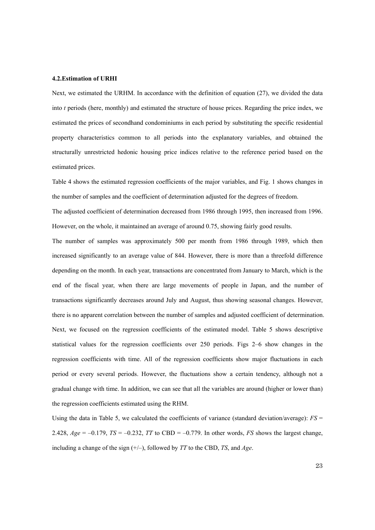### **4.2.Estimation of URHI**

Next, we estimated the URHM. In accordance with the definition of equation (27), we divided the data into *t* periods (here, monthly) and estimated the structure of house prices. Regarding the price index, we estimated the prices of secondhand condominiums in each period by substituting the specific residential property characteristics common to all periods into the explanatory variables, and obtained the structurally unrestricted hedonic housing price indices relative to the reference period based on the estimated prices.

Table 4 shows the estimated regression coefficients of the major variables, and Fig. 1 shows changes in the number of samples and the coefficient of determination adjusted for the degrees of freedom.

The adjusted coefficient of determination decreased from 1986 through 1995, then increased from 1996. However, on the whole, it maintained an average of around 0.75, showing fairly good results.

The number of samples was approximately 500 per month from 1986 through 1989, which then increased significantly to an average value of 844. However, there is more than a threefold difference depending on the month. In each year, transactions are concentrated from January to March, which is the end of the fiscal year, when there are large movements of people in Japan, and the number of transactions significantly decreases around July and August, thus showing seasonal changes. However, there is no apparent correlation between the number of samples and adjusted coefficient of determination. Next, we focused on the regression coefficients of the estimated model. Table 5 shows descriptive statistical values for the regression coefficients over 250 periods. Figs 2–6 show changes in the regression coefficients with time. All of the regression coefficients show major fluctuations in each period or every several periods. However, the fluctuations show a certain tendency, although not a gradual change with time. In addition, we can see that all the variables are around (higher or lower than) the regression coefficients estimated using the RHM.

Using the data in Table 5, we calculated the coefficients of variance (standard deviation/average): *FS* = 2.428,  $Age = -0.179$ ,  $TS = -0.232$ ,  $TT$  to CBD = -0.779. In other words, *FS* shows the largest change, including a change of the sign (+/–), followed by *TT* to the CBD, *TS*, and *Age*.

23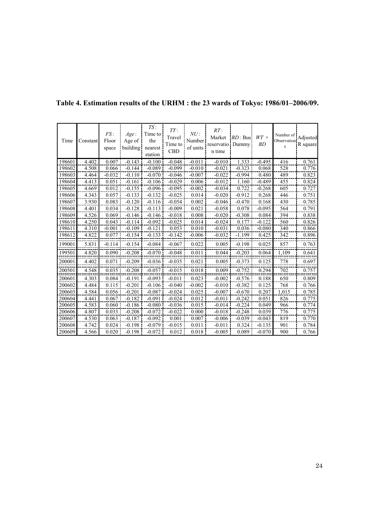| Time   | Constant | FS:<br>Floor<br>space | Age:<br>Age of<br>building! | TS:<br>Time to<br>the<br>nearest<br>station | TT:<br>Travel<br>Time to<br><b>CBD</b> | NU:<br>Number<br>of units | RT:<br>Market<br>reservatio Dummy<br>n time | BD: Bus  | $WT \times$<br><b>BD</b> | Number of Adjusted<br>Observation<br>s | R square |
|--------|----------|-----------------------|-----------------------------|---------------------------------------------|----------------------------------------|---------------------------|---------------------------------------------|----------|--------------------------|----------------------------------------|----------|
| 198601 | 4.402    | 0.007                 | $-0.143$                    | $-0.100$                                    | $-0.048$                               | $-0.011$                  | $-0.010$                                    | 1.333    | $-0.495$                 | 416                                    | 0.761    |
| 198602 | 4.508    | 0.066                 | $-0.144$                    | $-0.089$                                    | $-0.099$                               | $-0.010$                  | $-0.021$                                    | $-0.323$ | 0.068                    | 528                                    | 0.776    |
| 198603 | 4.464    | $-0.032$              | $-0.110$                    | $-0.070$                                    | $-0.046$                               | $-0.007$                  | $-0.022$                                    | $-0.994$ | 0.480                    | 489                                    | 0.823    |
| 198604 | 4.413    | 0.051                 | $-0.161$                    | $-0.106$                                    | $-0.029$                               | 0.006                     | $-0.012$                                    | 1.160    | $-0.489$                 | 455                                    | 0.824    |
| 198605 | 4.669    | 0.012                 | $-0.155$                    | $-0.096$                                    | $-0.095$                               | $-0.002$                  | $-0.034$                                    | 0.722    | $-0.268$                 | 605                                    | 0.727    |
| 198606 | 4.343    | 0.057                 | $-0.133$                    | $-0.132$                                    | $-0.025$                               | 0.014                     | $-0.020$                                    | $-0.912$ | 0.268                    | 446                                    | 0.751    |
| 198607 | 3.930    | 0.083                 | $-0.120$                    | $-0.116$                                    | $-0.054$                               | 0.002                     | $-0.046$                                    | $-0.470$ | 0.168                    | 430                                    | 0.785    |
| 198608 | 4.401    | 0.034                 | $-0.128$                    | $-0.113$                                    | $-0.009$                               | 0.021                     | $-0.058$                                    | 0.078    | $-0.095$                 | 564                                    | 0.791    |
| 198609 | 4.526    | 0.069                 | $-0.146$                    | $-0.146$                                    | $-0.018$                               | 0.008                     | $-0.020$                                    | $-0.308$ | 0.084                    | 394                                    | 0.838    |
| 198610 | 4.250    | 0.043                 | $-0.114$                    | $-0.092$                                    | $-0.025$                               | 0.014                     | $-0.024$                                    | 0.177    | $-0.122$                 | 560                                    | 0.826    |
| 198611 | 4.310    | $-0.001$              | $-0.109$                    | $-0.121$                                    | 0.053                                  | 0.010                     | $-0.031$                                    | 0.036    | $-0.080$                 | 340                                    | 0.866    |
| 198612 | 4.822    | 0.077                 | $-0.154$                    | $-0.133$                                    | $-0.142$                               | $-0.006$                  | $-0.032$                                    | $-1.199$ | 0.425                    | 342                                    | 0.896    |
| 199001 | 5.831    | $-0.114$              | $-0.154$                    | $-0.084$                                    | $-0.067$                               | 0.022                     | 0.005                                       | $-0.198$ | 0.025                    | 857                                    | 0.763    |
| 199501 | 4.820    | 0.090                 | $-0.208$                    | $-0.070$                                    | $-0.048$                               | 0.011                     | 0.044                                       | $-0.203$ | 0.064                    | 1.109                                  | 0.641    |
| 200001 | 4.402    | 0.071                 | $-0.209$                    | $-0.036$                                    | $-0.035$                               | 0.021                     | 0.005                                       | $-0.373$ | 0.125                    | 778                                    | 0.697    |
| 200501 | 4.548    | 0.035                 | $-0.208$                    | $-0.057$                                    | $-0.015$                               | 0.018                     | 0.009                                       | $-0.752$ | 0.294                    | 702                                    | 0.757    |
| 200601 | 4.303    | 0.084                 | $-0.191$                    | $-0.093$                                    | $-0.011$                               | 0.023                     | $-0.002$                                    | $-0.576$ | 0.188                    | 650                                    | 0.809    |
| 200602 | 4.484    | 0.115                 | $-0.201$                    | $-0.106$                                    | $-0.040$                               | $-0.002$                  | $-0.010$                                    | $-0.382$ | 0.125                    | 768                                    | 0.766    |
| 200603 | 4.584    | 0.056                 | $-0.201$                    | $-0.087$                                    | $-0.024$                               | 0.025                     | $-0.007$                                    | $-0.670$ | 0.207                    | 1,015                                  | 0.785    |
| 200604 | 4.441    | 0.067                 | $-0.182$                    | $-0.091$                                    | $-0.024$                               | 0.012                     | $-0.011$                                    | $-0.242$ | 0.051                    | 826                                    | 0.775    |
| 200605 | 4.583    | 0.060                 | $-0.186$                    | $-0.080$                                    | $-0.036$                               | 0.015                     | $-0.014$                                    | $-0.224$ | 0.049                    | 966                                    | 0.774    |
| 200606 | 4.807    | 0.033                 | $-0.208$                    | $-0.072$                                    | $-0.022$                               | 0.000                     | $-0.018$                                    | $-0.248$ | 0.039                    | 776                                    | 0.775    |
| 200607 | 4.530    | 0.063                 | $-0.187$                    | $-0.092$                                    | 0.001                                  | 0.007                     | $-0.006$                                    | $-0.039$ | $-0.043$                 | 819                                    | 0.770    |
| 200608 | 4.742    | 0.024                 | $-0.198$                    | $-0.079$                                    | $-0.015$                               | 0.011                     | $-0.011$                                    | 0.324    | $-0.135$                 | 901                                    | 0.784    |
| 200609 | 4.566    | 0.020                 | $-0.198$                    | $-0.072$                                    | 0.012                                  | 0.018                     | $-0.005$                                    | 0.089    | $-0.070$                 | 900                                    | 0.766    |

# **Table 4. Estimation results of the URHM : the 23 wards of Tokyo: 1986/01–2006/09.**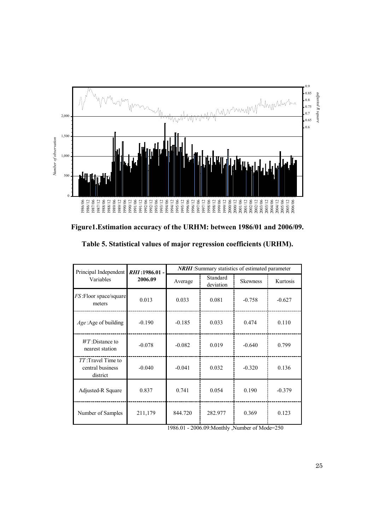

**Figure1.Estimation accuracy of the URHM: between 1986/01 and 2006/09.** 

| Table 5. Statistical values of major regression coefficients (URHM). |  |  |
|----------------------------------------------------------------------|--|--|
|----------------------------------------------------------------------|--|--|

| Principal Independent                             | RHI:1986.01 - | <b>NRHI</b> : Summary statistics of estimated parameter |                       |                 |          |  |  |  |
|---------------------------------------------------|---------------|---------------------------------------------------------|-----------------------|-----------------|----------|--|--|--|
| Variables                                         | 2006.09       | Average                                                 | Standard<br>deviation | <b>Skewness</b> | Kurtosis |  |  |  |
| <i>FS</i> : Floor space/square<br>meters          | 0.013         | 0.033                                                   | 0.081                 | $-0.758$        | $-0.627$ |  |  |  |
| Age: Age of building                              | $-0.190$      | $-0.185$                                                | 0.033                 | 0.474           | 0.110    |  |  |  |
| $WT$ :Distance to<br>nearest station              | $-0.078$      | $-0.082$                                                | 0.019                 | $-0.640$        | 0.799    |  |  |  |
| TT:Travel Time to<br>central business<br>district | $-0.040$      | $-0.041$                                                | 0.032                 | $-0.320$        | 0.136    |  |  |  |
| Adjusted-R Square                                 | 0.837         | 0.741                                                   | 0.054                 | 0.190           | $-0.379$ |  |  |  |
| Number of Samples                                 | 211,179       | 844.720                                                 | 282.977               | 0.369           | 0.123    |  |  |  |

1986.01 - 2006.09:Monthly ,Number of Mode=250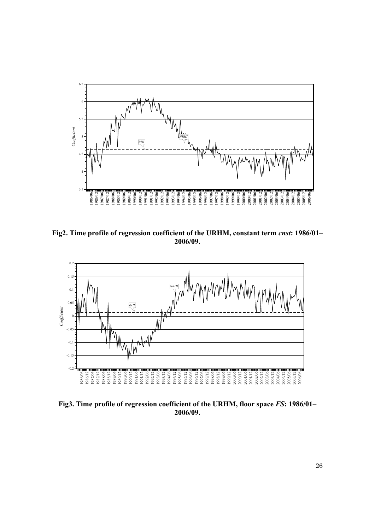

**Fig2. Time profile of regression coefficient of the URHM, constant term** *cnst***: 1986/01– 2006/09.** 



**Fig3. Time profile of regression coefficient of the URHM, floor space** *FS***: 1986/01– 2006/09.**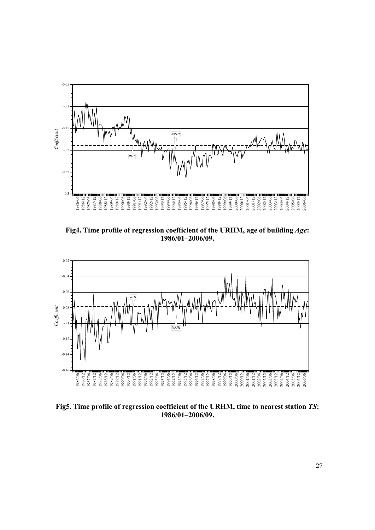

**Fig4. Time profile of regression coefficient of the URHM, age of building** *Age***: 1986/01–2006/09.** 



**Fig5. Time profile of regression coefficient of the URHM, time to nearest station** *TS***: 1986/01–2006/09.**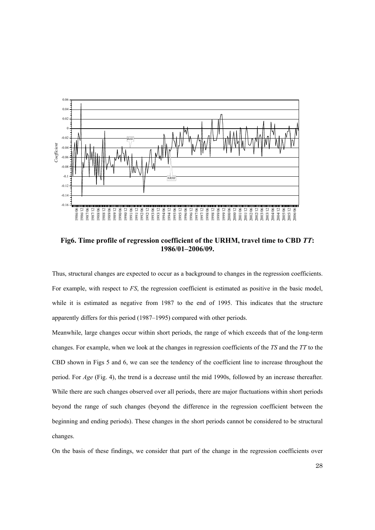

**Fig6. Time profile of regression coefficient of the URHM, travel time to CBD** *TT***: 1986/01–2006/09.** 

Thus, structural changes are expected to occur as a background to changes in the regression coefficients. For example, with respect to *FS*, the regression coefficient is estimated as positive in the basic model, while it is estimated as negative from 1987 to the end of 1995. This indicates that the structure apparently differs for this period (1987–1995) compared with other periods.

Meanwhile, large changes occur within short periods, the range of which exceeds that of the long-term changes. For example, when we look at the changes in regression coefficients of the *TS* and the *TT* to the CBD shown in Figs 5 and 6, we can see the tendency of the coefficient line to increase throughout the period. For *Age* (Fig. 4), the trend is a decrease until the mid 1990s, followed by an increase thereafter. While there are such changes observed over all periods, there are major fluctuations within short periods beyond the range of such changes (beyond the difference in the regression coefficient between the beginning and ending periods). These changes in the short periods cannot be considered to be structural changes.

On the basis of these findings, we consider that part of the change in the regression coefficients over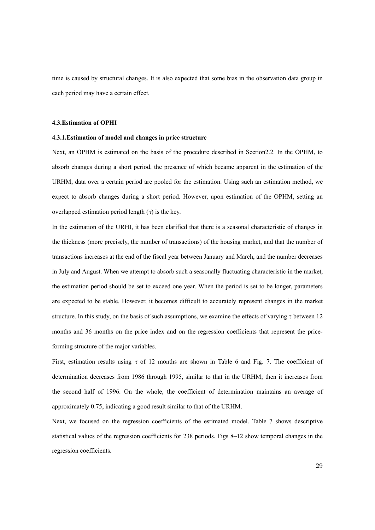time is caused by structural changes. It is also expected that some bias in the observation data group in each period may have a certain effect.

### **4.3.Estimation of OPHI**

#### **4.3.1.Estimation of model and changes in price structure**

Next, an OPHM is estimated on the basis of the procedure described in Section2.2. In the OPHM, to absorb changes during a short period, the presence of which became apparent in the estimation of the URHM, data over a certain period are pooled for the estimation. Using such an estimation method, we expect to absorb changes during a short period. However, upon estimation of the OPHM, setting an overlapped estimation period length  $(\tau)$  is the key.

In the estimation of the URHI, it has been clarified that there is a seasonal characteristic of changes in the thickness (more precisely, the number of transactions) of the housing market, and that the number of transactions increases at the end of the fiscal year between January and March, and the number decreases in July and August. When we attempt to absorb such a seasonally fluctuating characteristic in the market, the estimation period should be set to exceed one year. When the period is set to be longer, parameters are expected to be stable. However, it becomes difficult to accurately represent changes in the market structure. In this study, on the basis of such assumptions, we examine the effects of varying  $\tau$  between 12 months and 36 months on the price index and on the regression coefficients that represent the priceforming structure of the major variables.

First, estimation results using  $\tau$  of 12 months are shown in Table 6 and Fig. 7. The coefficient of determination decreases from 1986 through 1995, similar to that in the URHM; then it increases from the second half of 1996. On the whole, the coefficient of determination maintains an average of approximately 0.75, indicating a good result similar to that of the URHM.

Next, we focused on the regression coefficients of the estimated model. Table 7 shows descriptive statistical values of the regression coefficients for 238 periods. Figs 8–12 show temporal changes in the regression coefficients.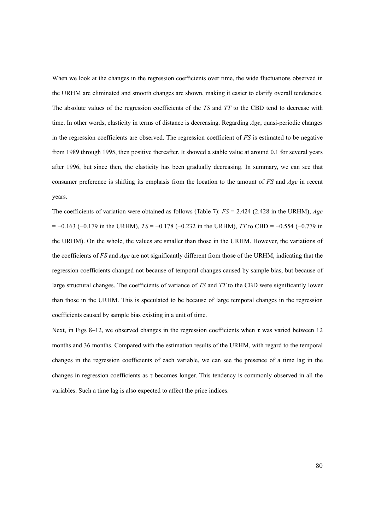When we look at the changes in the regression coefficients over time, the wide fluctuations observed in the URHM are eliminated and smooth changes are shown, making it easier to clarify overall tendencies. The absolute values of the regression coefficients of the *TS* and *TT* to the CBD tend to decrease with time. In other words, elasticity in terms of distance is decreasing. Regarding *Age*, quasi-periodic changes in the regression coefficients are observed. The regression coefficient of *FS* is estimated to be negative from 1989 through 1995, then positive thereafter. It showed a stable value at around 0.1 for several years after 1996, but since then, the elasticity has been gradually decreasing. In summary, we can see that consumer preference is shifting its emphasis from the location to the amount of *FS* and *Age* in recent years.

The coefficients of variation were obtained as follows (Table 7): *FS* = 2.424 (2.428 in the URHM), *Age* = −0.163 (−0.179 in the URHM), *TS* = −0.178 (−0.232 in the URHM), *TT* to CBD = −0.554 (−0.779 in the URHM). On the whole, the values are smaller than those in the URHM. However, the variations of the coefficients of *FS* and *Age* are not significantly different from those of the URHM, indicating that the regression coefficients changed not because of temporal changes caused by sample bias, but because of large structural changes. The coefficients of variance of *TS* and *TT* to the CBD were significantly lower than those in the URHM. This is speculated to be because of large temporal changes in the regression coefficients caused by sample bias existing in a unit of time.

Next, in Figs 8–12, we observed changes in the regression coefficients when  $\tau$  was varied between 12 months and 36 months. Compared with the estimation results of the URHM, with regard to the temporal changes in the regression coefficients of each variable, we can see the presence of a time lag in the changes in regression coefficients as τ becomes longer. This tendency is commonly observed in all the variables. Such a time lag is also expected to affect the price indices.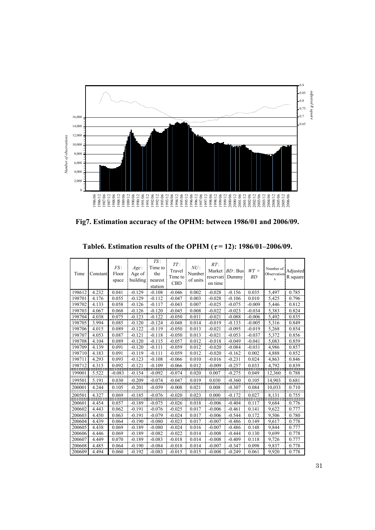

**Fig7. Estimation accuracy of the OPHM: between 1986/01 and 2006/09.** 

| Time   | Constant | FS:<br>Floor<br>space | Age:<br>Age of<br>building | TS:<br>Time to<br>the<br>nearest<br>station | TT:<br>Travel<br>Time to<br><b>CBD</b> | NU:<br>Number<br>of units | $RT$ :<br>reservati<br>on time | Market <i>BD</i> : Bus!<br>Dummy | $WT \times$<br>BD | Number of<br>Observation<br>s | Adjusted<br>R square |
|--------|----------|-----------------------|----------------------------|---------------------------------------------|----------------------------------------|---------------------------|--------------------------------|----------------------------------|-------------------|-------------------------------|----------------------|
| 198612 | 4.232    | 0.041                 | $-0.129$                   | $-0.108$                                    | $-0.046$                               | 0.002                     | $-0.028$                       | $-0.156$                         | 0.035             | 5,497                         | 0.785                |
| 198701 | 4.176    | 0.055                 | $-0.129$                   | $-0.112$                                    | $-0.047$                               | 0.003                     | $-0.028$                       | $-0.106$                         | 0.010             | 5,425                         | 0.796                |
| 198702 | 4.133    | 0.058                 | $-0.126$                   | $-0.117$                                    | $-0.043$                               | 0.007                     | $-0.025$                       | $-0.075$                         | $-0.009$          | 5,446                         | 0.812                |
| 198703 | 4.067    | 0.068                 | $-0.126$                   | $-0.120$                                    | $-0.045$                               | 0.008                     | $-0.022$                       | $-0.023$                         | $-0.034$          | 5,383                         | 0.824                |
| 198704 | 4.038    | 0.075                 | $-0.123$                   | $-0.122$                                    | $-0.050$                               | 0.011                     | $-0.021$                       | $-0.088$                         | $-0.006$          | 5,492                         | 0.835                |
| 198705 | 3.994    | 0.085                 | $-0.120$                   | $-0.124$                                    | $-0.048$                               | 0.014                     | $-0.019$                       | $-0.133$                         | $-0.005$          | 5,316                         | 0.849                |
| 198706 | 4.015    | 0.089                 | $-0.122$                   | $-0.119$                                    | $-0.050$                               | 0.013                     | $-0.021$                       | $-0.095$                         | $-0.019$          | 5.268                         | 0.854                |
| 198707 | 4.053    | 0.087                 | $-0.121$                   | $-0.118$                                    | $-0.050$                               | 0.013                     | $-0.021$                       | $-0.053$                         | $-0.037$          | 5,372                         | 0.856                |
| 198708 | 4.104    | 0.089                 | $-0.120$                   | $-0.115$                                    | $-0.057$                               | 0.012                     | $-0.018$                       | $-0.049$                         | $-0.041$          | 5,083                         | 0.859                |
| 198709 | 4.139    | 0.091                 | $-0.120$                   | $-0.111$                                    | $-0.059$                               | 0.012                     | $-0.020$                       | $-0.084$                         | $-0.031$          | 4,986                         | 0.857                |
| 198710 | 4.183    | 0.091                 | $-0.119$                   | $-0.111$                                    | $-0.059$                               | 0.012                     | $-0.020$                       | $-0.162$                         | 0.002             | 4,888                         | 0.852                |
| 198711 | 4.293    | 0.093                 | $-0.123$                   | $-0.108$                                    | $-0.066$                               | 0.010                     | $-0.016$                       | $-0.231$                         | 0.024             | 4,863                         | 0.846                |
| 198712 | 4.315    | 0.092                 | $-0.121$                   | $-0.109$                                    | $-0.066$                               | 0.012                     | $-0.009$                       | $-0.257$                         | 0.033             | 4,792                         | 0.839                |
| 199001 | 5.522    | $-0.083$              | $-0.154$                   | $-0.092$                                    | $-0.074$                               | 0.020                     | 0.007                          | $-0.275$                         | 0.049             | 12,360                        | 0.788                |
| 199501 | 5.191    | 0.030                 | $-0.209$                   | $-0.074$                                    | $-0.047$                               | 0.019                     | 0.030                          | $-0.360$                         | 0.105             | 14,903                        | 0.681                |
| 200001 | 4.244    | 0.105                 | $-0.201$                   | $-0.059$                                    | $-0.008$                               | 0.021                     | 0.008                          | $-0.307$                         | 0.084             | 10.033                        | 0.710                |
| 200501 | 4.327    | 0.069                 | $-0.185$                   | $-0.076$                                    | $-0.020$                               | 0.023                     | 0.000                          | $-0.172$                         | 0.027             | 8.131                         | 0.755                |
| 200601 | 4.454    | 0.057                 | $-0.189$                   | $-0.075$                                    | $-0.026$                               | 0.018                     | $-0.006$                       | $-0.404$                         | 0.117             | 9,684                         | 0.776                |
| 200602 | 4.443    | 0.062                 | $-0.191$                   | $-0.076$                                    | $-0.025$                               | 0.017                     | $-0.006$                       | $-0.461$                         | 0.141             | 9,622                         | 0.777                |
| 200603 | 4.450    | 0.063                 | $-0.191$                   | $-0.079$                                    | $-0.024$                               | 0.017                     | $-0.006$                       | $-0.544$                         | 0.172             | 9,506                         | 0.780                |
| 200604 | 4.439    | 0.064                 | $-0.190$                   | $-0.080$                                    | $-0.023$                               | 0.017                     | $-0.007$                       | $-0.486$                         | 0.149             | 9.617                         | 0.778                |
| 200605 | 4.438    | 0.069                 | $-0.189$                   | $-0.080$                                    | $-0.024$                               | 0.016                     | $-0.007$                       | $-0.486$                         | 0.148             | 9.844                         | 0.777                |
| 200606 | 4.446    | 0.069                 | $-0.189$                   | $-0.082$                                    | $-0.022$                               | 0.014                     | $-0.008$                       | $-0.444$                         | 0.130             | 9,699                         | 0.778                |
| 200607 | 4.449    | 0.070                 | $-0.189$                   | $-0.083$                                    | $-0.018$                               | 0.014                     | $-0.008$                       | $-0.409$                         | 0.118             | 9,726                         | 0.777                |
| 200608 | 4.485    | 0.064                 | $-0.190$                   | $-0.084$                                    | $-0.018$                               | 0.014                     | $-0.007$                       | $-0.347$                         | 0.098             | 9.837                         | 0.778                |
| 200609 | 4.494    | 0.060                 | $-0.192$                   | $-0.083$                                    | $-0.015$                               | 0.015                     | $-0.008$                       | $-0.249$                         | 0.061             | 9,920                         | 0.778                |

**Table6. Estimation results of the OPHM (** $\tau$ **=12): 1986/01–2006/09.**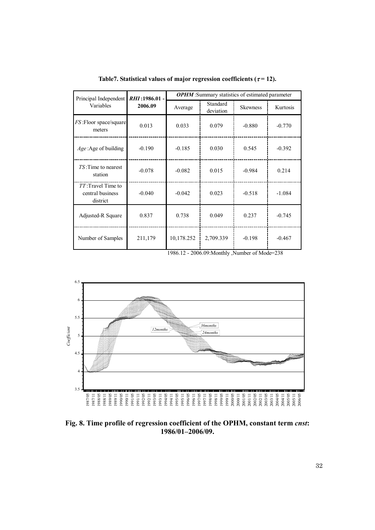| Principal Independent                              | RHI:1986.01 - | <b>OPHM</b> : Summary statistics of estimated parameter |                       |          |          |  |  |
|----------------------------------------------------|---------------|---------------------------------------------------------|-----------------------|----------|----------|--|--|
| Variables                                          | 2006.09       | Average                                                 | Standard<br>deviation |          | Kurtosis |  |  |
| FS: Floor space/square<br>meters                   | 0.013         | 0.033                                                   | 0.079                 | $-0.880$ | $-0.770$ |  |  |
| $Age: Age$ of building                             | $-0.190$      | $-0.185$                                                | 0.030                 | 0.545    | $-0.392$ |  |  |
| TS: Time to nearest<br>station                     | $-0.078$      | $-0.082$                                                | 0.015                 | $-0.984$ | 0.214    |  |  |
| TT: Travel Time to<br>central business<br>district | $-0.040$      | $-0.042$                                                | 0.023                 | $-0.518$ | $-1.084$ |  |  |
| Adjusted-R Square                                  | 0.837         | 0.738                                                   | 0.049                 | 0.237    | $-0.745$ |  |  |
| Number of Samples                                  | 211,179       | 10,178.252                                              | 2,709.339             | $-0.198$ | $-0.467$ |  |  |

Table7. Statistical values of major regression coefficients ( $\tau$ = 12).

1986.12 - 2006.09:Monthly ,Number of Mode=238



**Fig. 8. Time profile of regression coefficient of the OPHM, constant term** *cnst***: 1986/01–2006/09.**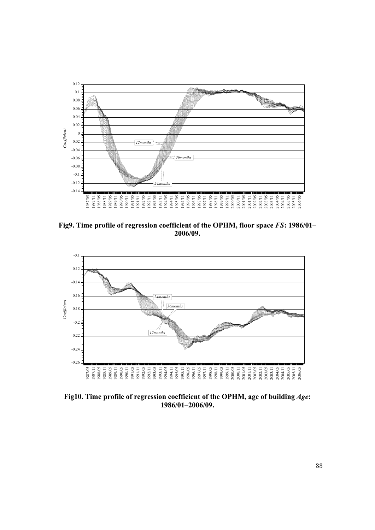

**Fig9. Time profile of regression coefficient of the OPHM, floor space** *FS***: 1986/01– 2006/09.** 



**Fig10. Time profile of regression coefficient of the OPHM, age of building** *Age***: 1986/01–2006/09.**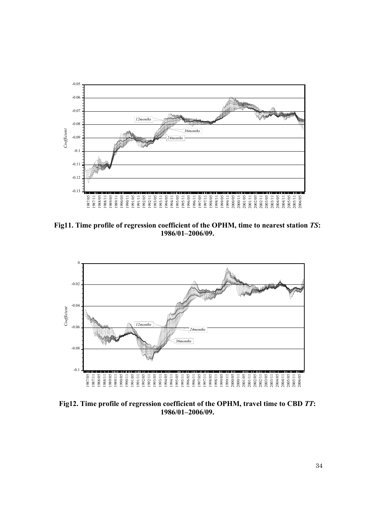

**Fig11. Time profile of regression coefficient of the OPHM, time to nearest station** *TS***: 1986/01–2006/09.** 



**Fig12. Time profile of regression coefficient of the OPHM, travel time to CBD** *TT***: 1986/01–2006/09.**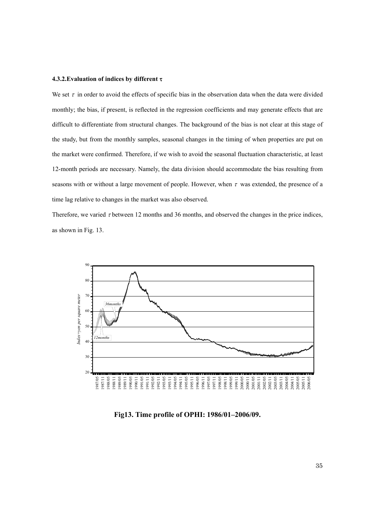#### **4.3.2.Evaluation of indices by different** τ

We set  $\tau$  in order to avoid the effects of specific bias in the observation data when the data were divided monthly; the bias, if present, is reflected in the regression coefficients and may generate effects that are difficult to differentiate from structural changes. The background of the bias is not clear at this stage of the study, but from the monthly samples, seasonal changes in the timing of when properties are put on the market were confirmed. Therefore, if we wish to avoid the seasonal fluctuation characteristic, at least 12-month periods are necessary. Namely, the data division should accommodate the bias resulting from seasons with or without a large movement of people. However, when  $\tau$  was extended, the presence of a time lag relative to changes in the market was also observed.

Therefore, we varied τ between 12 months and 36 months, and observed the changes in the price indices, as shown in Fig. 13.



**Fig13. Time profile of OPHI: 1986/01–2006/09.**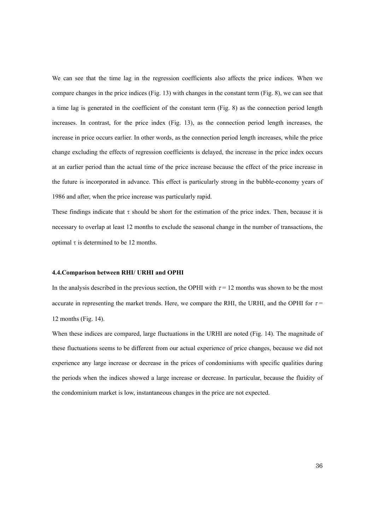We can see that the time lag in the regression coefficients also affects the price indices. When we compare changes in the price indices (Fig. 13) with changes in the constant term (Fig. 8), we can see that a time lag is generated in the coefficient of the constant term (Fig. 8) as the connection period length increases. In contrast, for the price index (Fig. 13), as the connection period length increases, the increase in price occurs earlier. In other words, as the connection period length increases, while the price change excluding the effects of regression coefficients is delayed, the increase in the price index occurs at an earlier period than the actual time of the price increase because the effect of the price increase in the future is incorporated in advance. This effect is particularly strong in the bubble-economy years of 1986 and after, when the price increase was particularly rapid.

These findings indicate that  $\tau$  should be short for the estimation of the price index. Then, because it is necessary to overlap at least 12 months to exclude the seasonal change in the number of transactions, the optimal τ is determined to be 12 months.

### **4.4.Comparison between RHI/ URHI and OPHI**

In the analysis described in the previous section, the OPHI with  $\tau = 12$  months was shown to be the most accurate in representing the market trends. Here, we compare the RHI, the URHI, and the OPHI for  $\tau$  = 12 months (Fig. 14).

When these indices are compared, large fluctuations in the URHI are noted (Fig. 14). The magnitude of these fluctuations seems to be different from our actual experience of price changes, because we did not experience any large increase or decrease in the prices of condominiums with specific qualities during the periods when the indices showed a large increase or decrease. In particular, because the fluidity of the condominium market is low, instantaneous changes in the price are not expected.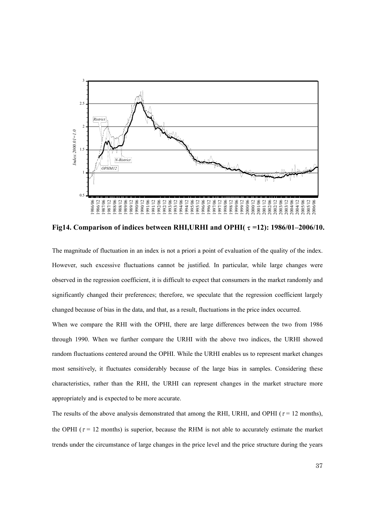

**Fig14. Comparison of indices between RHI,URHI and OPHI(**τ**=12): 1986/01–2006/10.** 

The magnitude of fluctuation in an index is not a priori a point of evaluation of the quality of the index. However, such excessive fluctuations cannot be justified. In particular, while large changes were observed in the regression coefficient, it is difficult to expect that consumers in the market randomly and significantly changed their preferences; therefore, we speculate that the regression coefficient largely changed because of bias in the data, and that, as a result, fluctuations in the price index occurred.

When we compare the RHI with the OPHI, there are large differences between the two from 1986 through 1990. When we further compare the URHI with the above two indices, the URHI showed random fluctuations centered around the OPHI. While the URHI enables us to represent market changes most sensitively, it fluctuates considerably because of the large bias in samples. Considering these characteristics, rather than the RHI, the URHI can represent changes in the market structure more appropriately and is expected to be more accurate.

The results of the above analysis demonstrated that among the RHI, URHI, and OPHI ( $\tau$  = 12 months), the OPHI ( $\tau$  = 12 months) is superior, because the RHM is not able to accurately estimate the market trends under the circumstance of large changes in the price level and the price structure during the years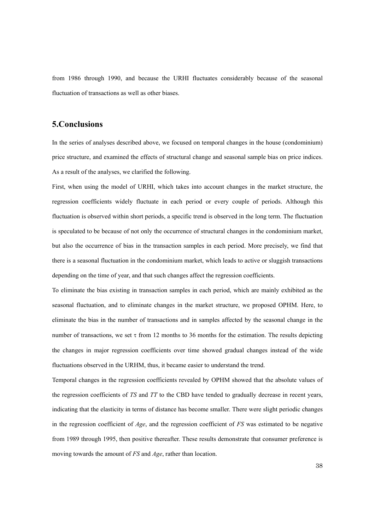from 1986 through 1990, and because the URHI fluctuates considerably because of the seasonal fluctuation of transactions as well as other biases.

### **5.Conclusions**

In the series of analyses described above, we focused on temporal changes in the house (condominium) price structure, and examined the effects of structural change and seasonal sample bias on price indices. As a result of the analyses, we clarified the following.

First, when using the model of URHI, which takes into account changes in the market structure, the regression coefficients widely fluctuate in each period or every couple of periods. Although this fluctuation is observed within short periods, a specific trend is observed in the long term. The fluctuation is speculated to be because of not only the occurrence of structural changes in the condominium market, but also the occurrence of bias in the transaction samples in each period. More precisely, we find that there is a seasonal fluctuation in the condominium market, which leads to active or sluggish transactions depending on the time of year, and that such changes affect the regression coefficients.

To eliminate the bias existing in transaction samples in each period, which are mainly exhibited as the seasonal fluctuation, and to eliminate changes in the market structure, we proposed OPHM. Here, to eliminate the bias in the number of transactions and in samples affected by the seasonal change in the number of transactions, we set τ from 12 months to 36 months for the estimation. The results depicting the changes in major regression coefficients over time showed gradual changes instead of the wide fluctuations observed in the URHM, thus, it became easier to understand the trend.

Temporal changes in the regression coefficients revealed by OPHM showed that the absolute values of the regression coefficients of *TS* and *TT* to the CBD have tended to gradually decrease in recent years, indicating that the elasticity in terms of distance has become smaller. There were slight periodic changes in the regression coefficient of *Age*, and the regression coefficient of *FS* was estimated to be negative from 1989 through 1995, then positive thereafter. These results demonstrate that consumer preference is moving towards the amount of *FS* and *Age*, rather than location.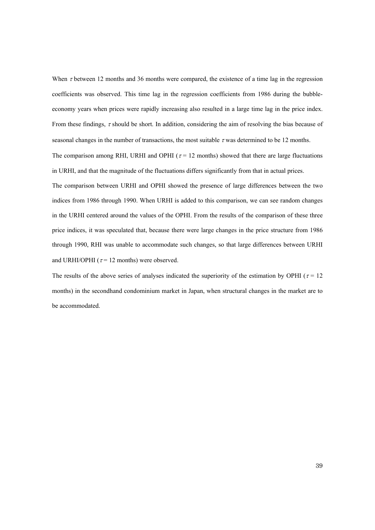When  $\tau$  between 12 months and 36 months were compared, the existence of a time lag in the regression coefficients was observed. This time lag in the regression coefficients from 1986 during the bubbleeconomy years when prices were rapidly increasing also resulted in a large time lag in the price index. From these findings, τ should be short. In addition, considering the aim of resolving the bias because of seasonal changes in the number of transactions, the most suitable  $\tau$  was determined to be 12 months.

The comparison among RHI, URHI and OPHI ( $\tau$  = 12 months) showed that there are large fluctuations in URHI, and that the magnitude of the fluctuations differs significantly from that in actual prices.

The comparison between URHI and OPHI showed the presence of large differences between the two indices from 1986 through 1990. When URHI is added to this comparison, we can see random changes in the URHI centered around the values of the OPHI. From the results of the comparison of these three price indices, it was speculated that, because there were large changes in the price structure from 1986 through 1990, RHI was unable to accommodate such changes, so that large differences between URHI and URHI/OPHI ( $\tau$  = 12 months) were observed.

The results of the above series of analyses indicated the superiority of the estimation by OPHI ( $\tau$  = 12 months) in the secondhand condominium market in Japan, when structural changes in the market are to be accommodated.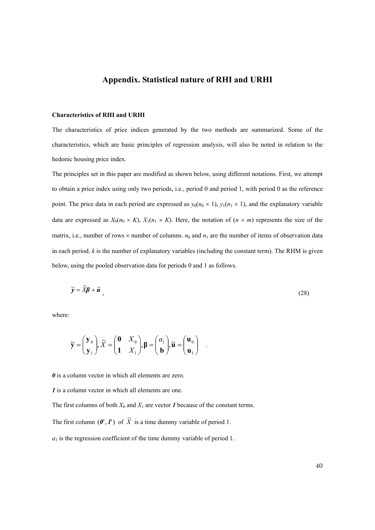## **Appendix. Statistical nature of RHI and URHI**

### **Characteristics of RHI and URHI**

The characteristics of price indices generated by the two methods are summarized. Some of the characteristics, which are basic principles of regression analysis, will also be noted in relation to the hedonic housing price index.

The principles set in this paper are modified as shown below, using different notations. First, we attempt to obtain a price index using only two periods, i.e., period 0 and period 1, with period 0 as the reference point. The price data in each period are expressed as  $y_0(n_0 \times 1)$ ,  $y_1(n_1 \times 1)$ , and the explanatory variable data are expressed as  $X_0(n_0 \times K)$ ,  $X_1(n_1 \times K)$ . Here, the notation of  $(n \times m)$  represents the size of the matrix, i.e., number of rows  $\times$  number of columns.  $n_0$  and  $n_1$  are the number of items of observation data in each period. *k* is the number of explanatory variables (including the constant term). The RHM is given below, using the pooled observation data for periods 0 and 1 as follows.

$$
\widetilde{\mathbf{y}} = \widetilde{X}\boldsymbol{\beta} + \widetilde{\boldsymbol{u}}\tag{28}
$$

where:

$$
\widetilde{\mathbf{y}} = \begin{pmatrix} \mathbf{y}_0 \\ \mathbf{y}_1 \end{pmatrix}, \widetilde{X} = \begin{pmatrix} \mathbf{0} & X_0 \\ \mathbf{1} & X_1 \end{pmatrix}, \mathbf{\beta} = \begin{pmatrix} a_1 \\ \mathbf{b} \end{pmatrix}, \widetilde{\mathbf{u}} = \begin{pmatrix} \mathbf{u}_0 \\ \mathbf{u}_1 \end{pmatrix} .
$$

*0* is a column vector in which all elements are zero.

*1* is a column vector in which all elements are one.

The first columns of both  $X_0$  and  $X_1$  are vector *1* because of the constant terms.

The first column  $(\theta', I')$  of  $\widetilde{X}$  is a time dummy variable of period 1.

 $a_1$  is the regression coefficient of the time dummy variable of period 1.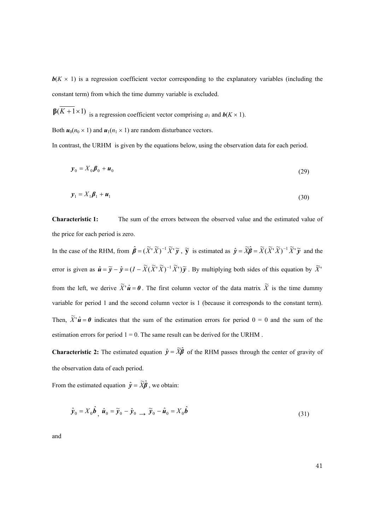**is a regression coefficient vector corresponding to the explanatory variables (including the** constant term) from which the time dummy variable is excluded.

 $\beta(K+1\times1)$  is a regression coefficient vector comprising  $a_1$  and  $b(K\times1)$ .

Both  $u_0(n_0 \times 1)$  and  $u_1(n_1 \times 1)$  are random disturbance vectors.

In contrast, the URHM is given by the equations below, using the observation data for each period.

$$
\mathbf{y}_0 = X_0 \boldsymbol{\beta}_0 + \boldsymbol{u}_0 \tag{29}
$$

$$
\mathbf{y}_1 = X_1 \boldsymbol{\beta}_1 + \boldsymbol{u}_1 \tag{30}
$$

**Characteristic 1:** The sum of the errors between the observed value and the estimated value of the price for each period is zero.

In the case of the RHM, from  $\hat{\boldsymbol{\beta}} = (\tilde{X}^T \tilde{X})^{-1} \tilde{X}^T \tilde{y}$ ,  $\tilde{y}$  is estimated as  $\hat{y} = \tilde{X} \hat{\boldsymbol{\beta}} = \tilde{X} (\tilde{X}^T \tilde{X})^{-1} \tilde{X}^T \tilde{y}$  and the error is given as  $\hat{\mathbf{u}} = \tilde{\mathbf{y}} - \hat{\mathbf{y}} = (I - \tilde{X}(\tilde{X}^T\tilde{X})^{-1}\tilde{X}^T)\tilde{\mathbf{y}}$ . By multiplying both sides of this equation by  $\tilde{X}^T$ from the left, we derive  $\widetilde{X}^{\dagger} \hat{u} = 0$ . The first column vector of the data matrix  $\widetilde{X}$  is the time dummy variable for period 1 and the second column vector is 1 (because it corresponds to the constant term). Then,  $\widetilde{X}^{\dagger} \hat{u} = 0$  indicates that the sum of the estimation errors for period  $0 = 0$  and the sum of the estimation errors for period  $1 = 0$ . The same result can be derived for the URHM.

**Characteristic 2:** The estimated equation  $\hat{y} = \tilde{X}\hat{\beta}$  of the RHM passes through the center of gravity of the observation data of each period.

From the estimated equation  $\hat{y} = \widetilde{X}\hat{\beta}$ , we obtain:

$$
\hat{\mathbf{y}}_0 = X_0 \hat{\boldsymbol{b}}_1 \hat{\boldsymbol{u}}_0 = \widetilde{\mathbf{y}}_0 - \hat{\mathbf{y}}_0 \longrightarrow \widetilde{\mathbf{y}}_0 - \hat{\boldsymbol{u}}_0 = X_0 \hat{\boldsymbol{b}} \tag{31}
$$

and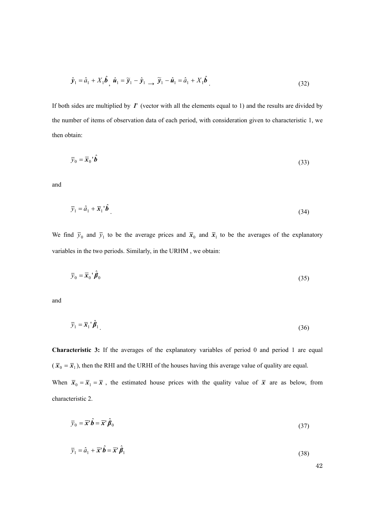$$
\hat{\mathbf{y}}_1 = \hat{a}_1 + X_1 \hat{\boldsymbol{b}}_1 \hat{\boldsymbol{u}}_1 = \widetilde{\mathbf{y}}_1 - \hat{\mathbf{y}}_1 \longrightarrow \widetilde{\mathbf{y}}_1 - \hat{\boldsymbol{u}}_1 = \hat{a}_1 + X_1 \hat{\boldsymbol{b}}_1
$$
\n(32)

If both sides are multiplied by *1*' (vector with all the elements equal to 1) and the results are divided by the number of items of observation data of each period, with consideration given to characteristic 1, we then obtain:

$$
\overline{y}_0 = \overline{x}_0 \, {}^{\prime} \hat{b} \tag{33}
$$

and

$$
\overline{y}_1 = \hat{a}_1 + \overline{\mathbf{x}}_1^{\ \prime} \hat{\boldsymbol{b}} \tag{34}
$$

We find  $\bar{y}_0$  and  $\bar{y}_1$  to be the average prices and  $\bar{x}_0$  and  $\bar{x}_1$  to be the averages of the explanatory variables in the two periods. Similarly, in the URHM , we obtain:

$$
\overline{y}_0 = \overline{x}_0 \, {}^{\prime} \hat{\beta}_0 \tag{35}
$$

and

$$
\bar{y}_1 = \bar{x}_1' \hat{\beta}_1 \tag{36}
$$

**Characteristic 3:** If the averages of the explanatory variables of period 0 and period 1 are equal  $(\bar{x}_0 = \bar{x}_1)$ , then the RHI and the URHI of the houses having this average value of quality are equal. When  $\bar{x}_0 = \bar{x}_1 = \bar{x}$ , the estimated house prices with the quality value of  $\bar{x}$  are as below, from characteristic 2.

$$
\overline{y}_0 = \overline{x}^1 \hat{b} = \overline{x}^1 \hat{\beta}_0
$$
\n(37)

$$
\overline{y}_1 = \hat{a}_1 + \overline{x}^{\dagger} \hat{b} = \overline{x}^{\dagger} \hat{b}_1
$$
\n(38)

42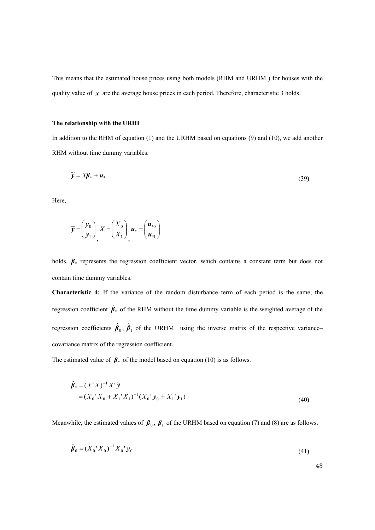This means that the estimated house prices using both models (RHM and URHM ) for houses with the quality value of  $\bar{x}$  are the average house prices in each period. Therefore, characteristic 3 holds.

### **The relationship with the URHI**

In addition to the RHM of equation (1) and the URHM based on equations (9) and (10), we add another RHM without time dummy variables.

$$
\widetilde{\mathbf{y}} = X\mathbf{\beta}_* + \mathbf{u}_* \tag{39}
$$

Here,

$$
\widetilde{\mathbf{y}} = \begin{pmatrix} \mathbf{y}_0 \\ \mathbf{y}_1 \end{pmatrix}, X = \begin{pmatrix} X_0 \\ X_1 \end{pmatrix}, \mathbf{u}_* = \begin{pmatrix} \mathbf{u}_{*0} \\ \mathbf{u}_{*1} \end{pmatrix}
$$

holds.  $\beta$ <sup>\*</sup> represents the regression coefficient vector, which contains a constant term but does not contain time dummy variables.

**Characteristic 4:** If the variance of the random disturbance term of each period is the same, the regression coefficient  $\hat{\beta}_*$  of the RHM without the time dummy variable is the weighted average of the regression coefficients  $\hat{\beta}_0$ ,  $\hat{\beta}_1$  of the URHM using the inverse matrix of the respective variance– covariance matrix of the regression coefficient.

The estimated value of  $\beta$ <sup>\*</sup> of the model based on equation (10) is as follows.

$$
\hat{\beta}_* = (X'X)^{-1}X'\tilde{y} \n= (X_0'X_0 + X_1'X_1)^{-1}(X_0'\mathbf{y}_0 + X_1'\mathbf{y}_1)
$$
\n(40)

Meanwhile, the estimated values of  $\beta_0$ ,  $\beta_1$  of the URHM based on equation (7) and (8) are as follows.

$$
\hat{\boldsymbol{\beta}}_0 = (X_0' X_0)^{-1} X_0' \mathbf{y}_0
$$
\n(41)

43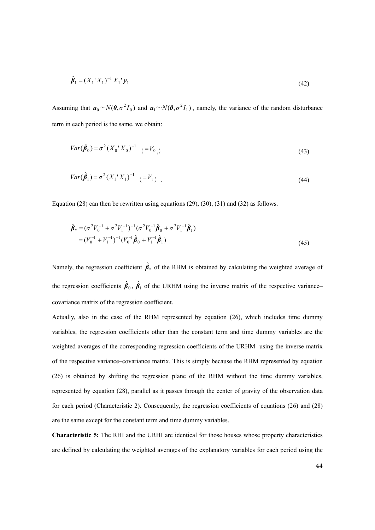$$
\hat{\beta}_1 = (X_1' X_1)^{-1} X_1' y_1 \tag{42}
$$

Assuming that  $\mathbf{u}_0 \sim N(\mathbf{0}, \sigma^2 I_0)$  and  $\mathbf{u}_1 \sim N(\mathbf{0}, \sigma^2 I_1)$ , namely, the variance of the random disturbance term in each period is the same, we obtain:

$$
Var(\hat{\beta}_0) = \sigma^2 (X_0^{\dagger} X_0)^{-1} \quad (=V_{0})
$$
\n(43)

$$
Var(\hat{\beta}_1) = \sigma^2 (X_1 X_1)^{-1} \quad (= V_1) \tag{44}
$$

Equation (28) can then be rewritten using equations (29), (30), (31) and (32) as follows.

$$
\hat{\boldsymbol{\beta}}_{*} = (\sigma^{2}V_{0}^{-1} + \sigma^{2}V_{1}^{-1})^{-1}(\sigma^{2}V_{0}^{-1}\hat{\boldsymbol{\beta}}_{0} + \sigma^{2}V_{1}^{-1}\hat{\boldsymbol{\beta}}_{1})
$$
\n
$$
= (V_{0}^{-1} + V_{1}^{-1})^{-1}(V_{0}^{-1}\hat{\boldsymbol{\beta}}_{0} + V_{1}^{-1}\hat{\boldsymbol{\beta}}_{1})
$$
\n(45)

Namely, the regression coefficient  $\hat{\beta}_*$  of the RHM is obtained by calculating the weighted average of the regression coefficients  $\hat{\beta}_0$ ,  $\hat{\beta}_1$  of the URHM using the inverse matrix of the respective variance– covariance matrix of the regression coefficient.

Actually, also in the case of the RHM represented by equation (26), which includes time dummy variables, the regression coefficients other than the constant term and time dummy variables are the weighted averages of the corresponding regression coefficients of the URHM using the inverse matrix of the respective variance–covariance matrix. This is simply because the RHM represented by equation (26) is obtained by shifting the regression plane of the RHM without the time dummy variables, represented by equation (28), parallel as it passes through the center of gravity of the observation data for each period (Characteristic 2). Consequently, the regression coefficients of equations (26) and (28) are the same except for the constant term and time dummy variables.

**Characteristic 5:** The RHI and the URHI are identical for those houses whose property characteristics are defined by calculating the weighted averages of the explanatory variables for each period using the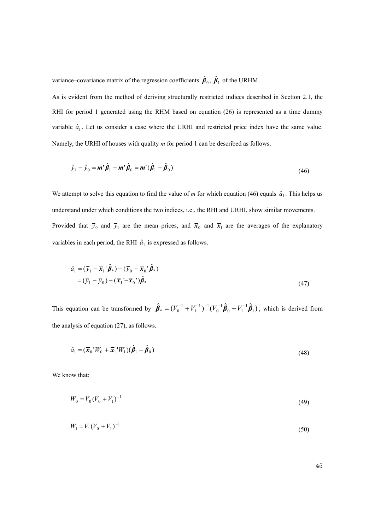variance–covariance matrix of the regression coefficients  $\hat{\beta}_0$ ,  $\hat{\beta}_1$  of the URHM.

As is evident from the method of deriving structurally restricted indices described in Section 2.1, the RHI for period 1 generated using the RHM based on equation (26) is represented as a time dummy variable  $\hat{a}_1$ . Let us consider a case where the URHI and restricted price index have the same value. Namely, the URHI of houses with quality *m* for period 1 can be described as follows.

$$
\hat{\mathbf{y}}_1 - \hat{\mathbf{y}}_0 = \mathbf{m}^{\dagger} \hat{\boldsymbol{\beta}}_1 - \mathbf{m}^{\dagger} \hat{\boldsymbol{\beta}}_0 = \mathbf{m}^{\dagger} (\hat{\boldsymbol{\beta}}_1 - \hat{\boldsymbol{\beta}}_0)
$$
\n(46)

We attempt to solve this equation to find the value of *m* for which equation (46) equals  $\hat{a}_1$ . This helps us understand under which conditions the two indices, i.e., the RHI and URHI, show similar movements. Provided that  $\bar{y}_0$  and  $\bar{y}_1$  are the mean prices, and  $\bar{x}_0$  and  $\bar{x}_1$  are the averages of the explanatory variables in each period, the RHI  $\hat{a}_1$  is expressed as follows.

$$
\hat{a}_1 = (\bar{y}_1 - \bar{\mathbf{x}}_1^{\ \prime} \hat{\boldsymbol{\beta}}_*) - (\bar{y}_0 - \bar{\mathbf{x}}_0^{\ \prime} \hat{\boldsymbol{\beta}}_*)
$$
  
=  $(\bar{y}_1 - \bar{y}_0) - (\bar{\mathbf{x}}_1^{\ \prime} - \bar{\mathbf{x}}_0^{\ \prime}) \hat{\boldsymbol{\beta}}_*$  (47)

This equation can be transformed by  $\hat{\beta}_* = (V_0^{-1} + V_1^{-1})^{-1} (V_0^{-1} \hat{\beta}_0 + V_1^{-1} \hat{\beta}_1)$  $0 + r_1$ 1 0  $-1$   $-1$  $\hat{\beta}_* = (V_0^{-1} + V_1^{-1})^{-1} (V_0^{-1} \hat{\beta}_0 + V_1^{-1} \hat{\beta}_1)$ , which is derived from the analysis of equation (27), as follows.

$$
\hat{a}_1 = (\overline{\mathbf{x}}_0 \,^\mathsf{T} W_0 + \overline{\mathbf{x}}_1 \,^\mathsf{T} W_1)(\hat{\boldsymbol{\beta}}_1 - \hat{\boldsymbol{\beta}}_0) \tag{48}
$$

We know that:

$$
W_0 = V_0 (V_0 + V_1)^{-1} \tag{49}
$$

$$
W_1 = V_1 (V_0 + V_1)^{-1}
$$
\n<sup>(50)</sup>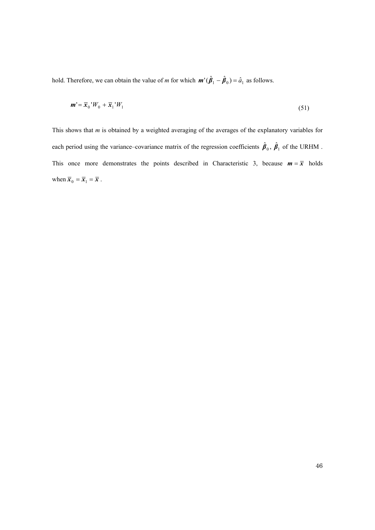hold. Therefore, we can obtain the value of *m* for which  $\mathbf{m}'(\hat{\beta}_1 - \hat{\beta}_0) = \hat{a}_1$  as follows.

$$
\mathbf{m}' = \overline{\mathbf{x}}_0 \, ^1W_0 + \overline{\mathbf{x}}_1 \, ^1W_1 \tag{51}
$$

This shows that *m* is obtained by a weighted averaging of the averages of the explanatory variables for each period using the variance–covariance matrix of the regression coefficients  $\hat{\beta}_0$ ,  $\hat{\beta}_1$  of the URHM. This once more demonstrates the points described in Characteristic 3, because  $m = \bar{x}$  holds when  $\overline{x}_0 = \overline{x}_1 = \overline{x}$ .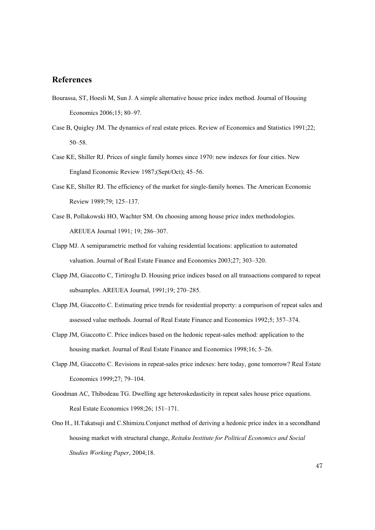# **References**

- Bourassa, ST, Hoesli M, Sun J. A simple alternative house price index method. Journal of Housing Economics 2006;15; 80–97.
- Case B, Quigley JM. The dynamics of real estate prices. Review of Economics and Statistics 1991;22; 50–58.
- Case KE, Shiller RJ. Prices of single family homes since 1970: new indexes for four cities. New England Economic Review 1987;(Sept/Oct); 45–56.
- Case KE, Shiller RJ. The efficiency of the market for single-family homes. The American Economic Review 1989;79; 125–137.
- Case B, Pollakowski HO, Wachter SM. On choosing among house price index methodologies. AREUEA Journal 1991; 19; 286–307.
- Clapp MJ. A semiparametric method for valuing residential locations: application to automated valuation. Journal of Real Estate Finance and Economics 2003;27; 303–320.
- Clapp JM, Giaccotto C, Tirtiroglu D. Housing price indices based on all transactions compared to repeat subsamples. AREUEA Journal, 1991;19; 270–285.
- Clapp JM, Giaccotto C. Estimating price trends for residential property: a comparison of repeat sales and assessed value methods. Journal of Real Estate Finance and Economics 1992;5; 357–374.
- Clapp JM, Giaccotto C. Price indices based on the hedonic repeat-sales method: application to the housing market. Journal of Real Estate Finance and Economics 1998;16; 5–26.
- Clapp JM, Giaccotto C. Revisions in repeat-sales price indexes: here today, gone tomorrow? Real Estate Economics 1999;27; 79–104.
- Goodman AC, Thibodeau TG. Dwelling age heteroskedasticity in repeat sales house price equations. Real Estate Economics 1998;26; 151–171.
- Ono H., H.Takatsuji and C.Shimizu.Conjunct method of deriving a hedonic price index in a secondhand housing market with structural change, *Reitaku Institute for Political Economics and Social Studies Working Paper*, 2004;18.